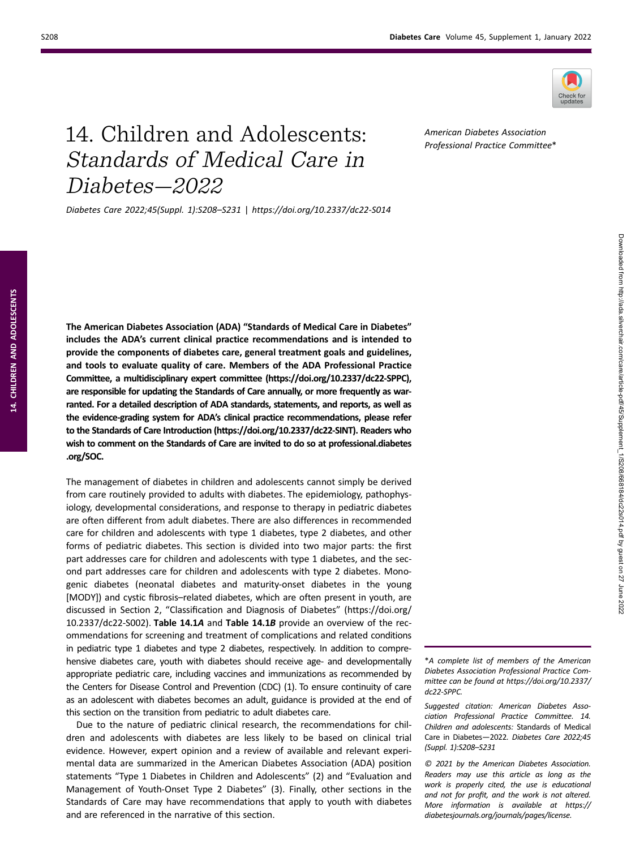

# 14. Children and Adolescents: Standards of Medical Care in Diabetes—2022

American Diabetes Association Professional Practice Committee\*

Diabetes Care 2022;45(Suppl. 1):S208–S231 | https://doi.org/10.2337/dc22-S014

The American Diabetes Association (ADA) "Standards of Medical Care in Diabetes" includes the ADA's current clinical practice recommendations and is intended to provide the components of diabetes care, general treatment goals and guidelines, and tools to evaluate quality of care. Members of the ADA Professional Practice Committee, a multidisciplinary expert committee [\(https://doi.org/10.2337/dc22-SPPC\)](https://doi.org/10.2337/dc22-SPPC), are responsible for updating the Standards of Care annually, or more frequently as warranted. For a detailed description of ADA standards, statements, and reports, as well as the evidence-grading system for ADA's clinical practice recommendations, please refer to the Standards of Care Introduction [\(https://doi.org/10.2337/dc22-SINT](https://doi.org/10.2337/dc22-SINT)). Readers who wish to comment on the Standards of Care are invited to do so at [professional.diabetes](https://professional.diabetes.org/SOC) [.org/SOC](https://professional.diabetes.org/SOC).

The management of diabetes in children and adolescents cannot simply be derived from care routinely provided to adults with diabetes. The epidemiology, pathophysiology, developmental considerations, and response to therapy in pediatric diabetes are often different from adult diabetes. There are also differences in recommended care for children and adolescents with type 1 diabetes, type 2 diabetes, and other forms of pediatric diabetes. This section is divided into two major parts: the first part addresses care for children and adolescents with type 1 diabetes, and the second part addresses care for children and adolescents with type 2 diabetes. Monogenic diabetes (neonatal diabetes and maturity-onset diabetes in the young [MODY]) and cystic fibrosis–related diabetes, which are often present in youth, are discussed in Section 2, "Classification and Diagnosis of Diabetes" [\(https://doi.org/](https://doi.org/10.2337/dc22-S002) [10.2337/dc22-S002](https://doi.org/10.2337/dc22-S002)). Table 14.1A and Table 14.1B provide an overview of the recommendations for screening and treatment of complications and related conditions in pediatric type 1 diabetes and type 2 diabetes, respectively. In addition to comprehensive diabetes care, youth with diabetes should receive age- and developmentally appropriate pediatric care, including vaccines and immunizations as recommended by the Centers for Disease Control and Prevention (CDC) (1). To ensure continuity of care as an adolescent with diabetes becomes an adult, guidance is provided at the end of this section on the transition from pediatric to adult diabetes care.

Due to the nature of pediatric clinical research, the recommendations for children and adolescents with diabetes are less likely to be based on clinical trial evidence. However, expert opinion and a review of available and relevant experimental data are summarized in the American Diabetes Association (ADA) position statements "Type 1 Diabetes in Children and Adolescents" (2) and "Evaluation and Management of Youth-Onset Type 2 Diabetes" (3). Finally, other sections in the Standards of Care may have recommendations that apply to youth with diabetes and are referenced in the narrative of this section.

\*A complete list of members of the American Diabetes Association Professional Practice Committee can be found at [https://doi.org/10.2337/](https://doi.org/10.2337/dc22-SPPC) [dc22-SPPC.](https://doi.org/10.2337/dc22-SPPC)

Suggested citation: American Diabetes Association Professional Practice Committee. 14. Children and adolescents: Standards of Medical Care in Diabetes—2022. Diabetes Care 2022;45 (Suppl. 1):S208–S231

© 2021 by the American Diabetes Association. Readers may use this article as long as the work is properly cited, the use is educational and not for profit, and the work is not altered. More information is available at [https://](https://diabetesjournals.org/journals/pages/license) [diabetesjournals.org/journals/pages/license.](https://diabetesjournals.org/journals/pages/license)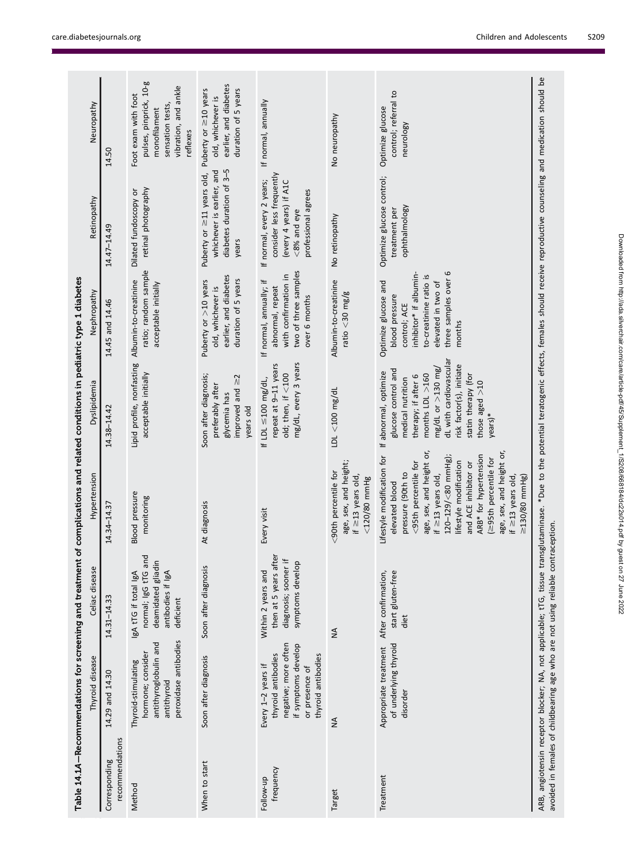|                                  | Table 14.14-Recommendations for screening and treatment                                                                         |                                                                                                     | of complications and related conditions in pediatric type 1 diabetes                                                                                                                                                                                                                                                                                    |                                                                                                                                                                                                                                                      |                                                                                                                                                                    |                                                                                                                                                                                                         |                                                                                                                       |
|----------------------------------|---------------------------------------------------------------------------------------------------------------------------------|-----------------------------------------------------------------------------------------------------|---------------------------------------------------------------------------------------------------------------------------------------------------------------------------------------------------------------------------------------------------------------------------------------------------------------------------------------------------------|------------------------------------------------------------------------------------------------------------------------------------------------------------------------------------------------------------------------------------------------------|--------------------------------------------------------------------------------------------------------------------------------------------------------------------|---------------------------------------------------------------------------------------------------------------------------------------------------------------------------------------------------------|-----------------------------------------------------------------------------------------------------------------------|
|                                  | Thyroid disease                                                                                                                 | Celiac disease                                                                                      | Hypertension                                                                                                                                                                                                                                                                                                                                            | Dyslipidemia                                                                                                                                                                                                                                         | Nephropathy                                                                                                                                                        | Retinopathy                                                                                                                                                                                             | Neuropathy                                                                                                            |
| recommendations<br>Corresponding | 14.29 and 14.30                                                                                                                 | $14.31 - 14.33$                                                                                     | 14.34-14.37                                                                                                                                                                                                                                                                                                                                             | 14.38-14.42                                                                                                                                                                                                                                          | 14.45 and 14.46                                                                                                                                                    | 14.47-14.49                                                                                                                                                                                             | 14.50                                                                                                                 |
| Method                           | peroxidase antibodies<br>antithyroglobulin and<br>hormone; consider<br>Thyroid-stimulating<br>antithyroid                       | normal; IgG tTG and<br>deamidated gliadin<br>antibodies if IgA<br>IgA tTG if total IgA<br>deficient | <b>Blood</b> pressure<br>monitoring                                                                                                                                                                                                                                                                                                                     | Lipid profile, nonfasting<br>acceptable initially                                                                                                                                                                                                    | ratio; random sample<br>Albumin-to-creatinine<br>acceptable initially                                                                                              | retinal photography<br>Dilated fundoscopy or                                                                                                                                                            | pulses, pinprick, 10-g<br>vibration, and ankle<br>Foot exam with foot<br>sensation tests,<br>monofilament<br>reflexes |
| When to start                    | Soon after diagnosis                                                                                                            | Soon after diagnosis                                                                                | At diagnosis                                                                                                                                                                                                                                                                                                                                            | Soon after diagnosis;<br>improved and $\geq$ 2<br>preferably after<br>glycemia has<br>years old                                                                                                                                                      | earlier, and diabetes<br>duration of 5 years<br>Puberty or >10 years<br>old, whichever is                                                                          | diabetes duration of 3-5<br>whichever is earlier, and<br>Puberty or $\geq$ 11 years old,<br>years                                                                                                       | earlier, and diabetes<br>duration of 5 years<br>Puberty or ≥10 years<br>old, whichever is                             |
| frequency<br>Follow-up           | negative; more often<br>if symptoms develop<br>thyroid antibodies<br>thyroid antibodies<br>Every 1-2 years if<br>or presence of | then at 5 years after<br>diagnosis; sooner if<br>symptoms develop<br>Within 2 years and             | Every visit                                                                                                                                                                                                                                                                                                                                             | mg/dL, every 3 years<br>repeat at 9-11 years<br>old; then, if $<$ 100<br>If LDL $\leq$ 100 mg/dL,                                                                                                                                                    | two of three samples<br>with confirmation in<br>If normal, annually; if<br>abnormal, repeat<br>over 6 months                                                       | consider less frequently<br>If normal, every 2 years;<br>(every 4 years) if A1C<br>professional agrees<br>$<8\%$ and eye                                                                                | If normal, annually                                                                                                   |
| Target                           | ≨                                                                                                                               | ≸                                                                                                   | age, sex, and height;<br><90th percentile for<br>if $\geq$ 13 years old,<br>$<$ 120/80 mmHg                                                                                                                                                                                                                                                             | $LDL < 100$ mg/dL                                                                                                                                                                                                                                    | Albumin-to-creatinine<br>ratio $<$ 30 mg/g                                                                                                                         | No retinopathy                                                                                                                                                                                          | No neuropathy                                                                                                         |
| Treatment                        | of underlying thyroid<br>Appropriate treatment<br>disorder                                                                      | After confirmation,<br>start gluten-free<br>diet                                                    | age, sex, and height or,<br>age, sex, and height or,<br>Lifestyle modification for<br>ARB* for hypertension<br>120-129/<80 mmHg);<br>≥95th percentile for<br>lifestyle modification<br>and ACE inhibitor or<br><95th percentile for<br>pressure (90th to<br>if $\geq$ 13 years old,<br>if $\geq$ 13 years old,<br>$\geq$ 130/80 mmHg)<br>elevated blood | dL with cardiovascular<br>risk factor(s), initiate<br>$mg/dL$ or $>$ 130 mg/<br>glucose control and<br>If abnormal, optimize<br>months $LDL > 160$<br>statin therapy (for<br>therapy; if after 6<br>medical nutrition<br>those aged $>10$<br>years)* | three samples over 6<br>inhibitor* if albumin-<br>to-creatinine ratio is<br>Optimize glucose and<br>elevated in two of<br>blood pressure<br>control; ACE<br>months | Optimize glucose control;<br>ophthalmology<br>treatment per                                                                                                                                             | control; referral to<br>Optimize glucose<br>neurology                                                                 |
|                                  | avoided in females of childbearing age who are not using reliable contraception.                                                |                                                                                                     |                                                                                                                                                                                                                                                                                                                                                         |                                                                                                                                                                                                                                                      |                                                                                                                                                                    | ARB, angiotensin receptor blocker; NA, not applicable; tTG, tissue transglutaminase. *Due to the potential teratogenic effects, females should receive reproductive counseling and medication should be |                                                                                                                       |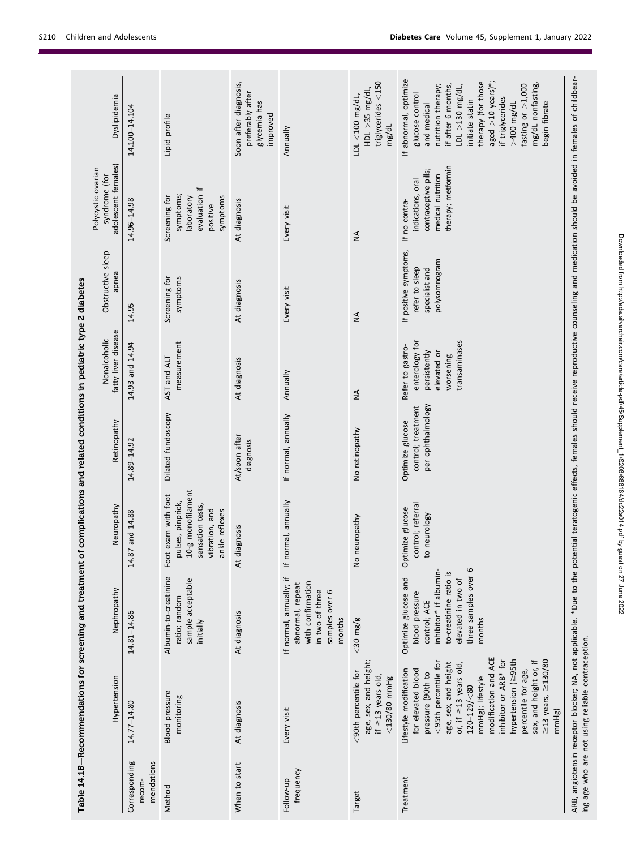|                                       | Table 14.1B-Recommendations for screening and treatment of complications and related conditions in pediatric type 2 diabetes                                                                                                                                                                                                                                   |                                                                                                                                                                    |                                                                                                                       |                                                             |                                                                                                 |                                                                            |                                                                                                       |                                                                                                                                                                                                                                                                                             |
|---------------------------------------|----------------------------------------------------------------------------------------------------------------------------------------------------------------------------------------------------------------------------------------------------------------------------------------------------------------------------------------------------------------|--------------------------------------------------------------------------------------------------------------------------------------------------------------------|-----------------------------------------------------------------------------------------------------------------------|-------------------------------------------------------------|-------------------------------------------------------------------------------------------------|----------------------------------------------------------------------------|-------------------------------------------------------------------------------------------------------|---------------------------------------------------------------------------------------------------------------------------------------------------------------------------------------------------------------------------------------------------------------------------------------------|
|                                       | Hypertension                                                                                                                                                                                                                                                                                                                                                   | Nephropathy                                                                                                                                                        | Neuropathy                                                                                                            | Retinopathy                                                 | fatty liver disease<br>Nonalcoholic                                                             | Obstructive sleep<br>apnea                                                 | adolescent females)<br>Polycystic ovarian<br>syndrome (for                                            | Dyslipidemia                                                                                                                                                                                                                                                                                |
| Corresponding<br>mendations<br>recom- | 14.77-14.80                                                                                                                                                                                                                                                                                                                                                    | 14.81-14.86                                                                                                                                                        | 14.87 and 14.88                                                                                                       | 14.89-14.92                                                 | 14.93 and 14.94                                                                                 | 14.95                                                                      | 14.96-14.98                                                                                           | 14.100-14.104                                                                                                                                                                                                                                                                               |
| Method                                | <b>Blood</b> pressure<br>monitoring                                                                                                                                                                                                                                                                                                                            | Albumin-to-creatinine<br>sample acceptable<br>ratio; random<br>initially                                                                                           | 10-g monofilament<br>Foot exam with foot<br>pulses, pinprick,<br>sensation tests,<br>vibration, and<br>ankle reflexes | Dilated fundoscopy                                          | measurement<br>AST and ALT                                                                      | Screening for<br>symptoms                                                  | evaluation if<br>symptoms;<br>Screening for<br>laboratory<br>symptoms<br>positive                     | Lipid profile                                                                                                                                                                                                                                                                               |
| When to start                         | At diagnosis                                                                                                                                                                                                                                                                                                                                                   | At diagnosis                                                                                                                                                       | diagnosis<br>$\ddot{\mathbf{x}}$                                                                                      | At/soon after<br>diagnosis                                  | At diagnosis                                                                                    | At diagnosis                                                               | At diagnosis                                                                                          | Soon after diagnosis,<br>preferably after<br>glycemia has<br>improved                                                                                                                                                                                                                       |
| frequency<br>Follow-up                | Every visit                                                                                                                                                                                                                                                                                                                                                    | If normal, annually; if<br>with confirmation<br>abnormal, repeat<br>in two of three<br>$\circ$<br>samples over<br>months                                           | If normal, annually                                                                                                   | If normal, annually                                         | Annually                                                                                        | Every visit                                                                | Every visit                                                                                           | Annually                                                                                                                                                                                                                                                                                    |
| Target                                | age, sex, and height;<br><90th percentile for<br>if $\geq$ 13 years old,<br>$<$ 130/80 mmHg                                                                                                                                                                                                                                                                    | $<$ 30 mg/g                                                                                                                                                        | neuropathy<br>$\frac{1}{2}$                                                                                           | No retinopathy                                              | $\frac{4}{2}$                                                                                   | $\lessgtr$                                                                 | $\lessgtr$                                                                                            | $trig$   ycerides $<$ 150<br>HDL > 35 mg/dL<br>LDL<100 mg/dL,<br>mg/dL                                                                                                                                                                                                                      |
| Treatment                             | modification and ACE<br>hypertension (≥95th<br>sex, and height or, if<br>$\geq$ 13 years, $\geq$ 130/80<br>inhibitor or ARB* for<br><95th percentile for<br>age, sex, and height<br>or, if $\geq$ 13 years old,<br>Lifestyle modification<br>for elevated blood<br>percentile for age,<br>pressure (90th to<br>mmHg); lifestyle<br>$120 - 129 / < 80$<br>mmHg) | three samples over 6<br>inhibitor* if albumin-<br>to-creatinine ratio is<br>Optimize glucose and<br>elevated in two of<br>blood pressure<br>control; ACE<br>months | control; referral<br>Optimize glucose<br>to neurology                                                                 | per ophthalmology<br>control; treatment<br>Optimize glucose | transaminases<br>enterology for<br>Refer to gastro-<br>persistently<br>elevated or<br>worsening | If positive symptoms,<br>polysomnogram<br>refer to sleep<br>specialist and | therapy; metformin<br>contraceptive pills;<br>medical nutrition<br>indications, oral<br>If no contra- | If abnormal, optimize<br>therapy (for those<br>aged $>$ 10 years)*;<br>fasting or $>1,000$<br>mg/dL nonfasting,<br>nutrition therapy;<br>if after 6 months,<br>LDL $>$ 130 mg/dL,<br>glucose control<br>if triglycerides<br>initiate statin<br>begin fibrate<br>$>400$ mg/dL<br>and medical |
|                                       | ARB, angiotensin receptor blocker; NA, not applicable. *Due to the potential teratogenic effects, females should receive reproductive counseling and medication should be avoided in females of childbear-                                                                                                                                                     |                                                                                                                                                                    |                                                                                                                       |                                                             |                                                                                                 |                                                                            |                                                                                                       |                                                                                                                                                                                                                                                                                             |

Downloaded from htp://ada.silverchair.com/care/article-pdf/45/Supplement\_1/S208/668194/dc22s014.pdf by guest on 27 June 2022 Downloaded from http://ada.silverchair.com/care/article-pdf/45/Supplement\_1/S208/668184/dc22s014.pdf by guest on 27 June 2022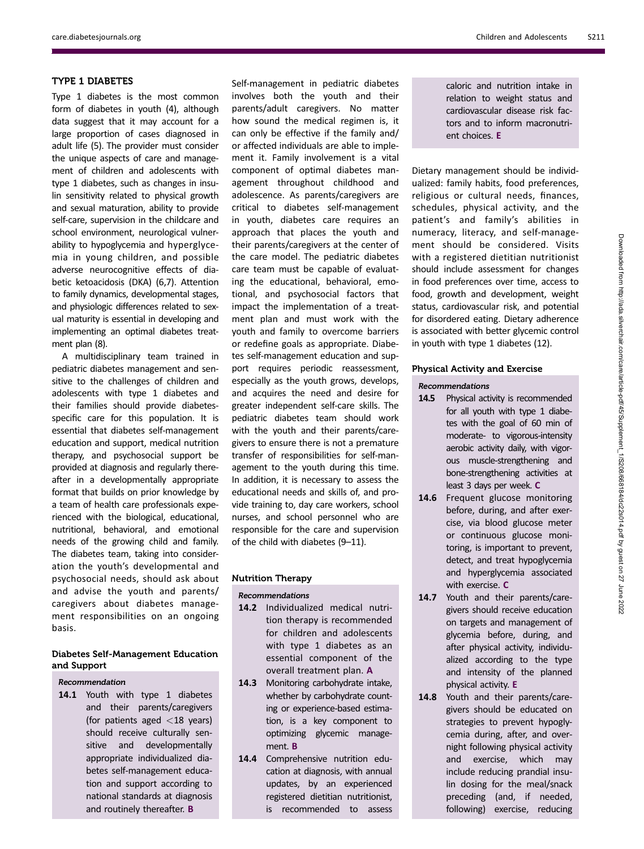# TYPE 1 DIABETES

Type 1 diabetes is the most common form of diabetes in youth (4), although data suggest that it may account for a large proportion of cases diagnosed in adult life (5). The provider must consider the unique aspects of care and management of children and adolescents with type 1 diabetes, such as changes in insulin sensitivity related to physical growth and sexual maturation, ability to provide self-care, supervision in the childcare and school environment, neurological vulnerability to hypoglycemia and hyperglycemia in young children, and possible adverse neurocognitive effects of diabetic ketoacidosis (DKA) (6,7). Attention to family dynamics, developmental stages, and physiologic differences related to sexual maturity is essential in developing and implementing an optimal diabetes treatment plan (8).

A multidisciplinary team trained in pediatric diabetes management and sensitive to the challenges of children and adolescents with type 1 diabetes and their families should provide diabetesspecific care for this population. It is essential that diabetes self-management education and support, medical nutrition therapy, and psychosocial support be provided at diagnosis and regularly thereafter in a developmentally appropriate format that builds on prior knowledge by a team of health care professionals experienced with the biological, educational, nutritional, behavioral, and emotional needs of the growing child and family. The diabetes team, taking into consideration the youth's developmental and psychosocial needs, should ask about and advise the youth and parents/ caregivers about diabetes management responsibilities on an ongoing basis.

# Diabetes Self-Management Education and Support

## Recommendation

14.1 Youth with type 1 diabetes and their parents/caregivers (for patients aged <18 years) should receive culturally sensitive and developmentally appropriate individualized diabetes self-management education and support according to national standards at diagnosis and routinely thereafter. B

Self-management in pediatric diabetes involves both the youth and their parents/adult caregivers. No matter how sound the medical regimen is, it can only be effective if the family and/ or affected individuals are able to implement it. Family involvement is a vital component of optimal diabetes management throughout childhood and adolescence. As parents/caregivers are critical to diabetes self-management in youth, diabetes care requires an approach that places the youth and their parents/caregivers at the center of the care model. The pediatric diabetes care team must be capable of evaluating the educational, behavioral, emotional, and psychosocial factors that impact the implementation of a treatment plan and must work with the youth and family to overcome barriers or redefine goals as appropriate. Diabetes self-management education and support requires periodic reassessment, especially as the youth grows, develops, and acquires the need and desire for greater independent self-care skills. The pediatric diabetes team should work with the youth and their parents/caregivers to ensure there is not a premature transfer of responsibilities for self-management to the youth during this time. In addition, it is necessary to assess the educational needs and skills of, and provide training to, day care workers, school nurses, and school personnel who are responsible for the care and supervision of the child with diabetes (9–11).

## Nutrition Therapy

## Recommendations

- 14.2 Individualized medical nutrition therapy is recommended for children and adolescents with type 1 diabetes as an essential component of the overall treatment plan. A
- 14.3 Monitoring carbohydrate intake, whether by carbohydrate counting or experience-based estimation, is a key component to optimizing glycemic management. B
- 14.4 Comprehensive nutrition education at diagnosis, with annual updates, by an experienced registered dietitian nutritionist, is recommended to assess

caloric and nutrition intake in relation to weight status and cardiovascular disease risk factors and to inform macronutrient choices. E

Dietary management should be individualized: family habits, food preferences, religious or cultural needs, finances, schedules, physical activity, and the patient's and family's abilities in numeracy, literacy, and self-management should be considered. Visits with a registered dietitian nutritionist should include assessment for changes in food preferences over time, access to food, growth and development, weight status, cardiovascular risk, and potential for disordered eating. Dietary adherence is associated with better glycemic control in youth with type 1 diabetes (12).

## Physical Activity and Exercise

- 14.5 Physical activity is recommended for all youth with type 1 diabetes with the goal of 60 min of moderate- to vigorous-intensity aerobic activity daily, with vigorous muscle-strengthening and bone-strengthening activities at least 3 days per week. C
- 14.6 Frequent glucose monitoring before, during, and after exercise, via blood glucose meter or continuous glucose monitoring, is important to prevent, detect, and treat hypoglycemia and hyperglycemia associated with exercise. C
- 14.7 Youth and their parents/caregivers should receive education on targets and management of glycemia before, during, and after physical activity, individualized according to the type and intensity of the planned physical activity. E
- 14.8 Youth and their parents/caregivers should be educated on strategies to prevent hypoglycemia during, after, and overnight following physical activity and exercise, which may include reducing prandial insulin dosing for the meal/snack preceding (and, if needed, following) exercise, reducing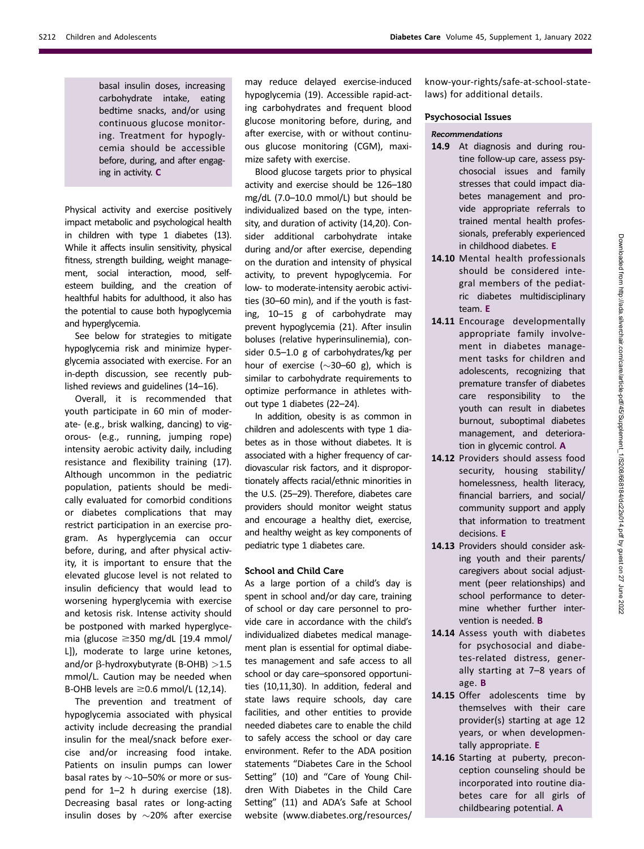basal insulin doses, increasing carbohydrate intake, eating bedtime snacks, and/or using continuous glucose monitoring. Treatment for hypoglycemia should be accessible before, during, and after engaging in activity. C

Physical activity and exercise positively impact metabolic and psychological health in children with type 1 diabetes (13). While it affects insulin sensitivity, physical fitness, strength building, weight management, social interaction, mood, selfesteem building, and the creation of healthful habits for adulthood, it also has the potential to cause both hypoglycemia and hyperglycemia.

See below for strategies to mitigate hypoglycemia risk and minimize hyperglycemia associated with exercise. For an in-depth discussion, see recently published reviews and guidelines (14–16).

Overall, it is recommended that youth participate in 60 min of moderate- (e.g., brisk walking, dancing) to vigorous- (e.g., running, jumping rope) intensity aerobic activity daily, including resistance and flexibility training (17). Although uncommon in the pediatric population, patients should be medically evaluated for comorbid conditions or diabetes complications that may restrict participation in an exercise program. As hyperglycemia can occur before, during, and after physical activity, it is important to ensure that the elevated glucose level is not related to insulin deficiency that would lead to worsening hyperglycemia with exercise and ketosis risk. Intense activity should be postponed with marked hyperglycemia (glucose  $\geq$ 350 mg/dL [19.4 mmol/ L]), moderate to large urine ketones, and/or  $\beta$ -hydroxybutyrate (B-OHB) >1.5 mmol/L. Caution may be needed when B-OHB levels are  $\geq$ 0.6 mmol/L (12,14).

The prevention and treatment of hypoglycemia associated with physical activity include decreasing the prandial insulin for the meal/snack before exercise and/or increasing food intake. Patients on insulin pumps can lower basal rates by  $\sim$  10–50% or more or suspend for 1–2 h during exercise (18). Decreasing basal rates or long-acting insulin doses by  $\sim$ 20% after exercise

may reduce delayed exercise-induced hypoglycemia (19). Accessible rapid-acting carbohydrates and frequent blood glucose monitoring before, during, and after exercise, with or without continuous glucose monitoring (CGM), maximize safety with exercise.

Blood glucose targets prior to physical activity and exercise should be 126–180 mg/dL (7.0–10.0 mmol/L) but should be individualized based on the type, intensity, and duration of activity (14,20). Consider additional carbohydrate intake during and/or after exercise, depending on the duration and intensity of physical activity, to prevent hypoglycemia. For low- to moderate-intensity aerobic activities (30–60 min), and if the youth is fasting, 10–15 g of carbohydrate may prevent hypoglycemia (21). After insulin boluses (relative hyperinsulinemia), consider 0.5–1.0 g of carbohydrates/kg per hour of exercise ( $\sim$ 30–60 g), which is similar to carbohydrate requirements to optimize performance in athletes without type 1 diabetes (22–24).

In addition, obesity is as common in children and adolescents with type 1 diabetes as in those without diabetes. It is associated with a higher frequency of cardiovascular risk factors, and it disproportionately affects racial/ethnic minorities in the U.S. (25–29). Therefore, diabetes care providers should monitor weight status and encourage a healthy diet, exercise, and healthy weight as key components of pediatric type 1 diabetes care.

# School and Child Care

As a large portion of a child's day is spent in school and/or day care, training of school or day care personnel to provide care in accordance with the child's individualized diabetes medical management plan is essential for optimal diabetes management and safe access to all school or day care–sponsored opportunities (10,11,30). In addition, federal and state laws require schools, day care facilities, and other entities to provide needed diabetes care to enable the child to safely access the school or day care environment. Refer to the ADA position statements "Diabetes Care in the School Setting" (10) and "Care of Young Children With Diabetes in the Child Care Setting" (11) and ADA's Safe at School website ([www.diabetes.org/resources/](http://www.diabetes.org/resources/know-your-rights/safe-at-school-state-laws)

[know-your-rights/safe-at-school-state](http://www.diabetes.org/resources/know-your-rights/safe-at-school-state-laws)[laws\)](http://www.diabetes.org/resources/know-your-rights/safe-at-school-state-laws) for additional details.

## Psychosocial Issues

- 14.9 At diagnosis and during routine follow-up care, assess psychosocial issues and family stresses that could impact diabetes management and provide appropriate referrals to trained mental health professionals, preferably experienced in childhood diabetes. E
- 14.10 Mental health professionals should be considered integral members of the pediatric diabetes multidisciplinary team. E
- 14.11 Encourage developmentally appropriate family involvement in diabetes management tasks for children and adolescents, recognizing that premature transfer of diabetes care responsibility to the youth can result in diabetes burnout, suboptimal diabetes management, and deterioration in glycemic control. A
- 14.12 Providers should assess food security, housing stability/ homelessness, health literacy, financial barriers, and social/ community support and apply that information to treatment decisions. E
- 14.13 Providers should consider asking youth and their parents/ caregivers about social adjustment (peer relationships) and school performance to determine whether further intervention is needed. B
- 14.14 Assess youth with diabetes for psychosocial and diabetes-related distress, generally starting at 7–8 years of age. B
- 14.15 Offer adolescents time by themselves with their care provider(s) starting at age 12 years, or when developmentally appropriate. E
- 14.16 Starting at puberty, preconception counseling should be incorporated into routine diabetes care for all girls of childbearing potential. A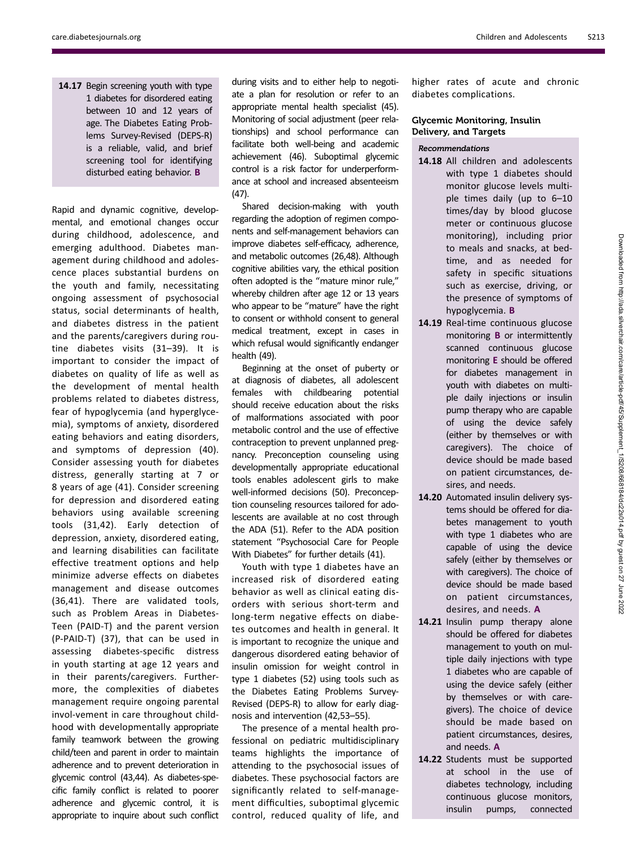14.17 Begin screening youth with type 1 diabetes for disordered eating between 10 and 12 years of age. The Diabetes Eating Problems Survey-Revised (DEPS-R) is a reliable, valid, and brief screening tool for identifying disturbed eating behavior. B

Rapid and dynamic cognitive, developmental, and emotional changes occur during childhood, adolescence, and emerging adulthood. Diabetes management during childhood and adolescence places substantial burdens on the youth and family, necessitating ongoing assessment of psychosocial status, social determinants of health, and diabetes distress in the patient and the parents/caregivers during routine diabetes visits (31–39). It is important to consider the impact of diabetes on quality of life as well as the development of mental health problems related to diabetes distress, fear of hypoglycemia (and hyperglycemia), symptoms of anxiety, disordered eating behaviors and eating disorders, and symptoms of depression (40). Consider assessing youth for diabetes distress, generally starting at 7 or 8 years of age (41). Consider screening for depression and disordered eating behaviors using available screening tools (31,42). Early detection of depression, anxiety, disordered eating, and learning disabilities can facilitate effective treatment options and help minimize adverse effects on diabetes management and disease outcomes (36,41). There are validated tools, such as Problem Areas in Diabetes-Teen (PAID-T) and the parent version (P-PAID-T) (37), that can be used in assessing diabetes-specific distress in youth starting at age 12 years and in their parents/caregivers. Furthermore, the complexities of diabetes management require ongoing parental invol-vement in care throughout childhood with developmentally appropriate family teamwork between the growing child/teen and parent in order to maintain adherence and to prevent deterioration in glycemic control (43,44). As diabetes-specific family conflict is related to poorer adherence and glycemic control, it is appropriate to inquire about such conflict during visits and to either help to negotiate a plan for resolution or refer to an appropriate mental health specialist (45). Monitoring of social adjustment (peer relationships) and school performance can facilitate both well-being and academic achievement (46). Suboptimal glycemic control is a risk factor for underperformance at school and increased absenteeism (47).

Shared decision-making with youth regarding the adoption of regimen components and self-management behaviors can improve diabetes self-efficacy, adherence, and metabolic outcomes (26,48). Although cognitive abilities vary, the ethical position often adopted is the "mature minor rule," whereby children after age 12 or 13 years who appear to be "mature" have the right to consent or withhold consent to general medical treatment, except in cases in which refusal would significantly endanger health (49).

Beginning at the onset of puberty or at diagnosis of diabetes, all adolescent females with childbearing potential should receive education about the risks of malformations associated with poor metabolic control and the use of effective contraception to prevent unplanned pregnancy. Preconception counseling using developmentally appropriate educational tools enables adolescent girls to make well-informed decisions (50). Preconception counseling resources tailored for adolescents are available at no cost through the ADA (51). Refer to the ADA position statement "Psychosocial Care for People With Diabetes" for further details (41).

Youth with type 1 diabetes have an increased risk of disordered eating behavior as well as clinical eating disorders with serious short-term and long-term negative effects on diabetes outcomes and health in general. It is important to recognize the unique and dangerous disordered eating behavior of insulin omission for weight control in type 1 diabetes (52) using tools such as the Diabetes Eating Problems Survey-Revised (DEPS-R) to allow for early diagnosis and intervention (42,53–55).

The presence of a mental health professional on pediatric multidisciplinary teams highlights the importance of attending to the psychosocial issues of diabetes. These psychosocial factors are significantly related to self-management difficulties, suboptimal glycemic control, reduced quality of life, and

higher rates of acute and chronic diabetes complications.

# Glycemic Monitoring, Insulin Delivery, and Targets

- 14.18 All children and adolescents with type 1 diabetes should monitor glucose levels multiple times daily (up to 6–10 times/day by blood glucose meter or continuous glucose monitoring), including prior to meals and snacks, at bedtime, and as needed for safety in specific situations such as exercise, driving, or the presence of symptoms of hypoglycemia. **B**
- 14.19 Real-time continuous glucose monitoring B or intermittently scanned continuous glucose monitoring E should be offered for diabetes management in youth with diabetes on multiple daily injections or insulin pump therapy who are capable of using the device safely (either by themselves or with caregivers). The choice of device should be made based on patient circumstances, desires, and needs.
- 14.20 Automated insulin delivery systems should be offered for diabetes management to youth with type 1 diabetes who are capable of using the device safely (either by themselves or with caregivers). The choice of device should be made based on patient circumstances, desires, and needs. A
- 14.21 Insulin pump therapy alone should be offered for diabetes management to youth on multiple daily injections with type 1 diabetes who are capable of using the device safely (either by themselves or with caregivers). The choice of device should be made based on patient circumstances, desires, and needs. A
- 14.22 Students must be supported at school in the use of diabetes technology, including continuous glucose monitors, insulin pumps, connected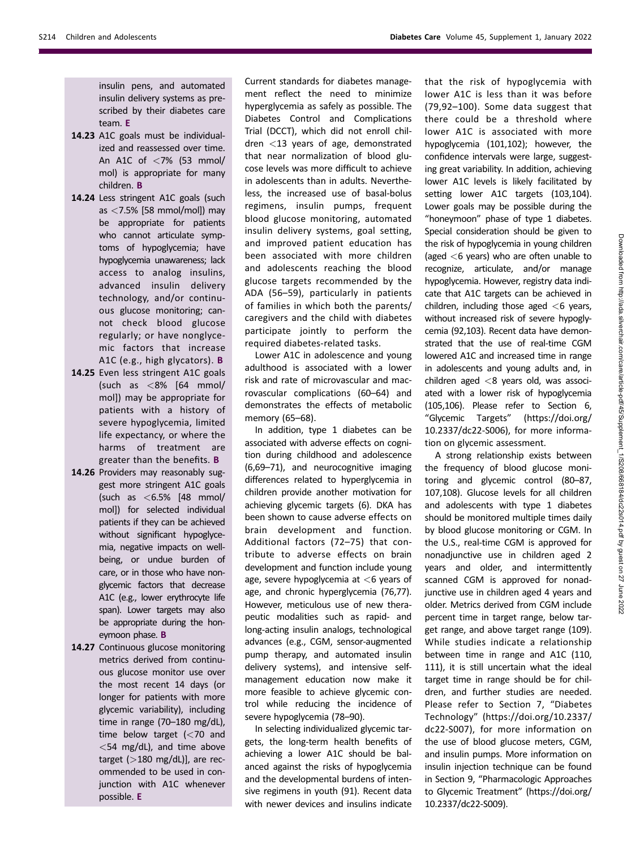insulin pens, and automated insulin delivery systems as prescribed by their diabetes care team. E

- 14.23 A1C goals must be individualized and reassessed over time. An A1C of <7% (53 mmol/ mol) is appropriate for many children. B
- 14.24 Less stringent A1C goals (such as <7.5% [58 mmol/mol]) may be appropriate for patients who cannot articulate symptoms of hypoglycemia; have hypoglycemia unawareness; lack access to analog insulins, advanced insulin delivery technology, and/or continuous glucose monitoring; cannot check blood glucose regularly; or have nonglycemic factors that increase A1C (e.g., high glycators). B
- 14.25 Even less stringent A1C goals (such as <8% [64 mmol/ mol]) may be appropriate for patients with a history of severe hypoglycemia, limited life expectancy, or where the harms of treatment are greater than the benefits. B
- 14.26 Providers may reasonably suggest more stringent A1C goals (such as  $< 6.5\%$  [48 mmol/ mol]) for selected individual patients if they can be achieved without significant hypoglycemia, negative impacts on wellbeing, or undue burden of care, or in those who have nonglycemic factors that decrease A1C (e.g., lower erythrocyte life span). Lower targets may also be appropriate during the honeymoon phase. B
- 14.27 Continuous glucose monitoring metrics derived from continuous glucose monitor use over the most recent 14 days (or longer for patients with more glycemic variability), including time in range (70–180 mg/dL), time below target (<70 and  $<$ 54 mg/dL), and time above target ( $>180$  mg/dL)], are recommended to be used in conjunction with A1C whenever possible. E

Current standards for diabetes management reflect the need to minimize hyperglycemia as safely as possible. The Diabetes Control and Complications Trial (DCCT), which did not enroll children <13 years of age, demonstrated that near normalization of blood glucose levels was more difficult to achieve in adolescents than in adults. Nevertheless, the increased use of basal-bolus regimens, insulin pumps, frequent blood glucose monitoring, automated insulin delivery systems, goal setting, and improved patient education has been associated with more children and adolescents reaching the blood glucose targets recommended by the ADA (56–59), particularly in patients of families in which both the parents/ caregivers and the child with diabetes participate jointly to perform the required diabetes-related tasks.

Lower A1C in adolescence and young adulthood is associated with a lower risk and rate of microvascular and macrovascular complications (60–64) and demonstrates the effects of metabolic memory (65–68).

In addition, type 1 diabetes can be associated with adverse effects on cognition during childhood and adolescence (6,69–71), and neurocognitive imaging differences related to hyperglycemia in children provide another motivation for achieving glycemic targets (6). DKA has been shown to cause adverse effects on brain development and function. Additional factors (72–75) that contribute to adverse effects on brain development and function include young age, severe hypoglycemia at  $<$ 6 years of age, and chronic hyperglycemia (76,77). However, meticulous use of new therapeutic modalities such as rapid- and long-acting insulin analogs, technological advances (e.g., CGM, sensor-augmented pump therapy, and automated insulin delivery systems), and intensive selfmanagement education now make it more feasible to achieve glycemic control while reducing the incidence of severe hypoglycemia (78–90).

In selecting individualized glycemic targets, the long-term health benefits of achieving a lower A1C should be balanced against the risks of hypoglycemia and the developmental burdens of intensive regimens in youth (91). Recent data with newer devices and insulins indicate

that the risk of hypoglycemia with lower A1C is less than it was before (79,92–100). Some data suggest that there could be a threshold where lower A1C is associated with more hypoglycemia (101,102); however, the confidence intervals were large, suggesting great variability. In addition, achieving lower A1C levels is likely facilitated by setting lower A1C targets (103,104). Lower goals may be possible during the "honeymoon" phase of type 1 diabetes. Special consideration should be given to the risk of hypoglycemia in young children (aged <6 years) who are often unable to recognize, articulate, and/or manage hypoglycemia. However, registry data indicate that A1C targets can be achieved in children, including those aged  $<6$  years, without increased risk of severe hypoglycemia (92,103). Recent data have demonstrated that the use of real-time CGM lowered A1C and increased time in range in adolescents and young adults and, in children aged <8 years old, was associated with a lower risk of hypoglycemia (105,106). Please refer to Section 6, "Glycemic Targets" [\(https://doi.org/](https://doi.org/10.2337/dc22-S006) [10.2337/dc22-S006\)](https://doi.org/10.2337/dc22-S006), for more information on glycemic assessment.

A strong relationship exists between the frequency of blood glucose monitoring and glycemic control (80–87, 107,108). Glucose levels for all children and adolescents with type 1 diabetes should be monitored multiple times daily by blood glucose monitoring or CGM. In the U.S., real-time CGM is approved for nonadjunctive use in children aged 2 years and older, and intermittently scanned CGM is approved for nonadjunctive use in children aged 4 years and older. Metrics derived from CGM include percent time in target range, below target range, and above target range (109). While studies indicate a relationship between time in range and A1C (110, 111), it is still uncertain what the ideal target time in range should be for children, and further studies are needed. Please refer to Section 7, "Diabetes Technology" [\(https://doi.org/10.2337/](https://doi.org/10.2337/dc22-S007) [dc22-S007\)](https://doi.org/10.2337/dc22-S007), for more information on the use of blood glucose meters, CGM, and insulin pumps. More information on insulin injection technique can be found in Section 9, "Pharmacologic Approaches to Glycemic Treatment" [\(https://doi.org/](https://doi.org/10.2337/dc22-S009) [10.2337/dc22-S009\)](https://doi.org/10.2337/dc22-S009).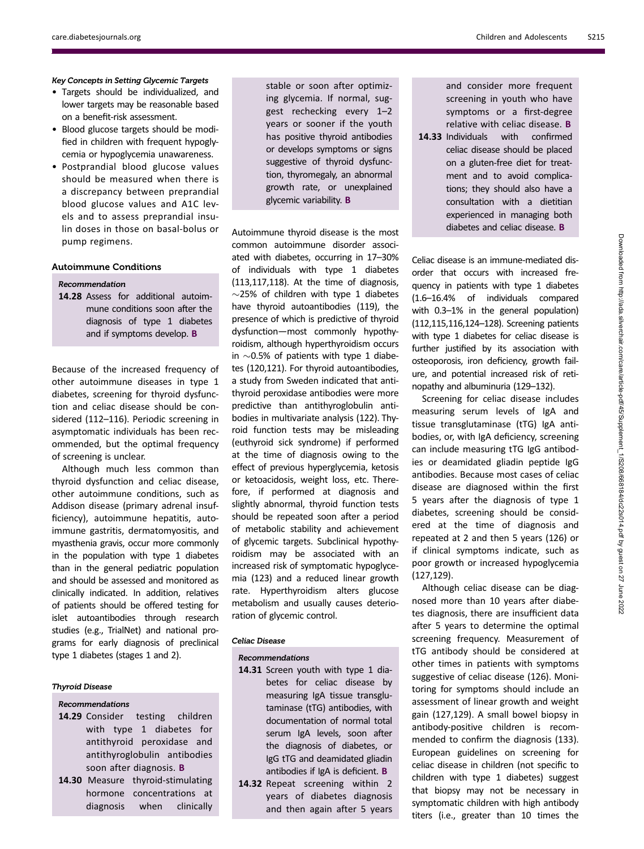- Targets should be individualized, and lower targets may be reasonable based on a benefit-risk assessment.
- Blood glucose targets should be modified in children with frequent hypoglycemia or hypoglycemia unawareness.
- Postprandial blood glucose values should be measured when there is a discrepancy between preprandial blood glucose values and A1C levels and to assess preprandial insulin doses in those on basal-bolus or pump regimens.

# Autoimmune Conditions

# Recommendation

14.28 Assess for additional autoimmune conditions soon after the diagnosis of type 1 diabetes and if symptoms develop. B

Because of the increased frequency of other autoimmune diseases in type 1 diabetes, screening for thyroid dysfunction and celiac disease should be considered (112–116). Periodic screening in asymptomatic individuals has been recommended, but the optimal frequency of screening is unclear.

Although much less common than thyroid dysfunction and celiac disease, other autoimmune conditions, such as Addison disease (primary adrenal insufficiency), autoimmune hepatitis, autoimmune gastritis, dermatomyositis, and myasthenia gravis, occur more commonly in the population with type 1 diabetes than in the general pediatric population and should be assessed and monitored as clinically indicated. In addition, relatives of patients should be offered testing for islet autoantibodies through research studies (e.g., TrialNet) and national programs for early diagnosis of preclinical type 1 diabetes (stages 1 and 2).

## Thyroid Disease

## Recommendations

- 14.29 Consider testing children with type 1 diabetes for antithyroid peroxidase and antithyroglobulin antibodies soon after diagnosis. B
- 14.30 Measure thyroid-stimulating hormone concentrations at diagnosis when clinically

stable or soon after optimizing glycemia. If normal, suggest rechecking every 1–2 years or sooner if the youth has positive thyroid antibodies or develops symptoms or signs suggestive of thyroid dysfunction, thyromegaly, an abnormal growth rate, or unexplained glycemic variability. B

Autoimmune thyroid disease is the most common autoimmune disorder associated with diabetes, occurring in 17–30% of individuals with type 1 diabetes (113,117,118). At the time of diagnosis,  $\sim$ 25% of children with type 1 diabetes have thyroid autoantibodies (119), the presence of which is predictive of thyroid dysfunction—most commonly hypothyroidism, although hyperthyroidism occurs in  $\sim$ 0.5% of patients with type 1 diabetes (120,121). For thyroid autoantibodies, a study from Sweden indicated that antithyroid peroxidase antibodies were more predictive than antithyroglobulin antibodies in multivariate analysis (122). Thyroid function tests may be misleading (euthyroid sick syndrome) if performed at the time of diagnosis owing to the effect of previous hyperglycemia, ketosis or ketoacidosis, weight loss, etc. Therefore, if performed at diagnosis and slightly abnormal, thyroid function tests should be repeated soon after a period of metabolic stability and achievement of glycemic targets. Subclinical hypothyroidism may be associated with an increased risk of symptomatic hypoglycemia (123) and a reduced linear growth rate. Hyperthyroidism alters glucose metabolism and usually causes deterioration of glycemic control.

#### Celiac Disease

## Recommendations

- 14.31 Screen youth with type 1 diabetes for celiac disease by measuring IgA tissue transglutaminase (tTG) antibodies, with documentation of normal total serum IgA levels, soon after the diagnosis of diabetes, or IgG tTG and deamidated gliadin antibodies if IgA is deficient. B
- 14.32 Repeat screening within 2 years of diabetes diagnosis and then again after 5 years

and consider more frequent screening in youth who have symptoms or a first-degree relative with celiac disease. B

14.33 Individuals with confirmed celiac disease should be placed on a gluten-free diet for treatment and to avoid complications; they should also have a consultation with a dietitian experienced in managing both diabetes and celiac disease. B

Celiac disease is an immune-mediated disorder that occurs with increased frequency in patients with type 1 diabetes (1.6–16.4% of individuals compared with 0.3–1% in the general population) (112,115,116,124–128). Screening patients with type 1 diabetes for celiac disease is further justified by its association with osteoporosis, iron deficiency, growth failure, and potential increased risk of retinopathy and albuminuria (129–132).

Screening for celiac disease includes measuring serum levels of IgA and tissue transglutaminase (tTG) IgA antibodies, or, with IgA deficiency, screening can include measuring tTG IgG antibodies or deamidated gliadin peptide IgG antibodies. Because most cases of celiac disease are diagnosed within the first 5 years after the diagnosis of type 1 diabetes, screening should be considered at the time of diagnosis and repeated at 2 and then 5 years (126) or if clinical symptoms indicate, such as poor growth or increased hypoglycemia (127,129).

Although celiac disease can be diagnosed more than 10 years after diabetes diagnosis, there are insufficient data after 5 years to determine the optimal screening frequency. Measurement of tTG antibody should be considered at other times in patients with symptoms suggestive of celiac disease (126). Monitoring for symptoms should include an assessment of linear growth and weight gain (127,129). A small bowel biopsy in antibody-positive children is recommended to confirm the diagnosis (133). European guidelines on screening for celiac disease in children (not specific to children with type 1 diabetes) suggest that biopsy may not be necessary in symptomatic children with high antibody titers (i.e., greater than 10 times the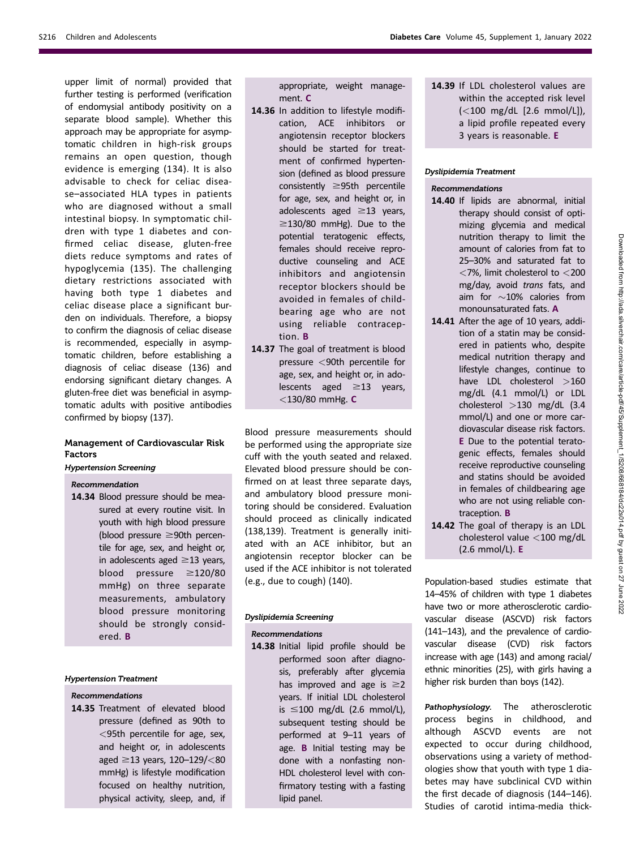upper limit of normal) provided that further testing is performed (verification of endomysial antibody positivity on a separate blood sample). Whether this approach may be appropriate for asymptomatic children in high-risk groups remains an open question, though evidence is emerging (134). It is also advisable to check for celiac disease–associated HLA types in patients who are diagnosed without a small intestinal biopsy. In symptomatic children with type 1 diabetes and confirmed celiac disease, gluten-free diets reduce symptoms and rates of hypoglycemia (135). The challenging dietary restrictions associated with having both type 1 diabetes and celiac disease place a significant burden on individuals. Therefore, a biopsy to confirm the diagnosis of celiac disease is recommended, especially in asymptomatic children, before establishing a diagnosis of celiac disease (136) and endorsing significant dietary changes. A gluten-free diet was beneficial in asymptomatic adults with positive antibodies confirmed by biopsy (137).

# Management of Cardiovascular Risk Factors

# Hypertension Screening

## Recommendation

14.34 Blood pressure should be measured at every routine visit. In youth with high blood pressure (blood pressure  $\geq$ 90th percentile for age, sex, and height or, in adolescents aged  $\geq$ 13 years, blood pressure  $\geq$ 120/80 mmHg) on three separate measurements, ambulatory blood pressure monitoring should be strongly considered. B

## Hypertension Treatment

#### Recommendations

14.35 Treatment of elevated blood pressure (defined as 90th to <95th percentile for age, sex, and height or, in adolescents aged  $\geq$ 13 years, 120–129/ $<$ 80 mmHg) is lifestyle modification focused on healthy nutrition, physical activity, sleep, and, if

appropriate, weight management. C

- 14.36 In addition to lifestyle modification, ACE inhibitors or angiotensin receptor blockers should be started for treatment of confirmed hypertension (defined as blood pressure consistently  $\geq$ 95th percentile for age, sex, and height or, in adolescents aged  $\geq$ 13 years,  $\ge$ 130/80 mmHg). Due to the potential teratogenic effects, females should receive reproductive counseling and ACE inhibitors and angiotensin receptor blockers should be avoided in females of childbearing age who are not using reliable contraception. B
- 14.37 The goal of treatment is blood pressure <90th percentile for age, sex, and height or, in adolescents aged  $\geq$ 13 years,  $<$ 130/80 mmHg. C

Blood pressure measurements should be performed using the appropriate size cuff with the youth seated and relaxed. Elevated blood pressure should be confirmed on at least three separate days, and ambulatory blood pressure monitoring should be considered. Evaluation should proceed as clinically indicated (138,139). Treatment is generally initiated with an ACE inhibitor, but an angiotensin receptor blocker can be used if the ACE inhibitor is not tolerated (e.g., due to cough) (140).

#### Dyslipidemia Screening

#### Recommendations

14.38 Initial lipid profile should be performed soon after diagnosis, preferably after glycemia has improved and age is  $\geq$ 2 years. If initial LDL cholesterol is  $\leq$ 100 mg/dL (2.6 mmol/L), subsequent testing should be performed at 9–11 years of age. **B** Initial testing may be done with a nonfasting non-HDL cholesterol level with confirmatory testing with a fasting lipid panel.

14.39 If LDL cholesterol values are within the accepted risk level (<100 mg/dL [2.6 mmol/L]), a lipid profile repeated every 3 years is reasonable. E

## Dyslipidemia Treatment

## Recommendations

- 14.40 If lipids are abnormal, initial therapy should consist of optimizing glycemia and medical nutrition therapy to limit the amount of calories from fat to 25–30% and saturated fat to <7%, limit cholesterol to <200 mg/day, avoid trans fats, and aim for  $\sim$ 10% calories from monounsaturated fats. A
- 14.41 After the age of 10 years, addition of a statin may be considered in patients who, despite medical nutrition therapy and lifestyle changes, continue to have LDL cholesterol >160 mg/dL (4.1 mmol/L) or LDL cholesterol >130 mg/dL (3.4 mmol/L) and one or more cardiovascular disease risk factors. E Due to the potential teratogenic effects, females should receive reproductive counseling and statins should be avoided in females of childbearing age who are not using reliable contraception. B
- 14.42 The goal of therapy is an LDL cholesterol value <100 mg/dL (2.6 mmol/L). E

Population-based studies estimate that 14–45% of children with type 1 diabetes have two or more atherosclerotic cardiovascular disease (ASCVD) risk factors (141–143), and the prevalence of cardiovascular disease (CVD) risk factors increase with age (143) and among racial/ ethnic minorities (25), with girls having a higher risk burden than boys (142).

Pathophysiology. The atherosclerotic process begins in childhood, and although ASCVD events are not expected to occur during childhood, observations using a variety of methodologies show that youth with type 1 diabetes may have subclinical CVD within the first decade of diagnosis (144–146). Studies of carotid intima-media thick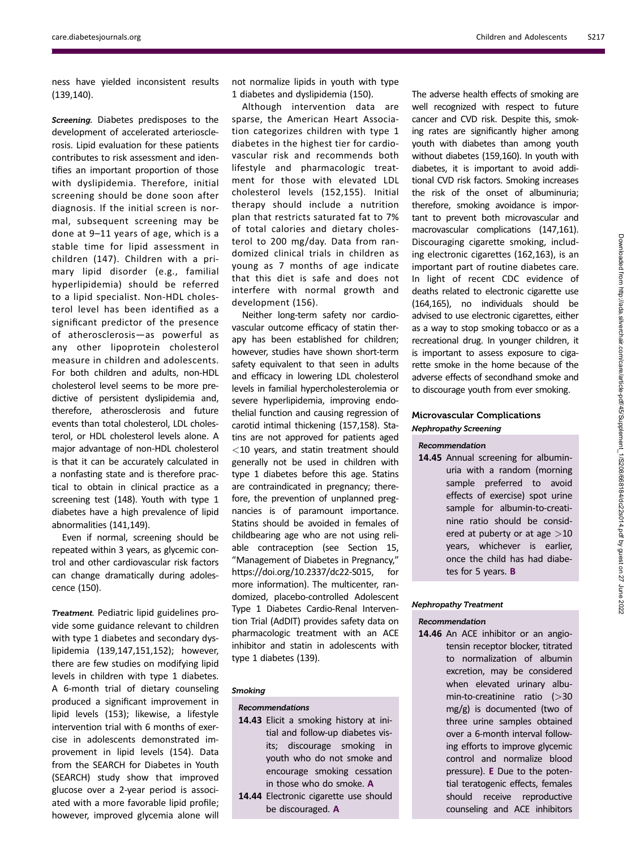ness have yielded inconsistent results (139,140).

Screening. Diabetes predisposes to the development of accelerated arteriosclerosis. Lipid evaluation for these patients contributes to risk assessment and identifies an important proportion of those with dyslipidemia. Therefore, initial screening should be done soon after diagnosis. If the initial screen is normal, subsequent screening may be done at 9–11 years of age, which is a stable time for lipid assessment in children (147). Children with a primary lipid disorder (e.g., familial hyperlipidemia) should be referred to a lipid specialist. Non-HDL cholesterol level has been identified as a significant predictor of the presence of atherosclerosis—as powerful as any other lipoprotein cholesterol measure in children and adolescents. For both children and adults, non-HDL cholesterol level seems to be more predictive of persistent dyslipidemia and, therefore, atherosclerosis and future events than total cholesterol, LDL cholesterol, or HDL cholesterol levels alone. A major advantage of non-HDL cholesterol is that it can be accurately calculated in a nonfasting state and is therefore practical to obtain in clinical practice as a screening test (148). Youth with type 1 diabetes have a high prevalence of lipid abnormalities (141,149).

Even if normal, screening should be repeated within 3 years, as glycemic control and other cardiovascular risk factors can change dramatically during adolescence (150).

Treatment. Pediatric lipid guidelines provide some guidance relevant to children with type 1 diabetes and secondary dyslipidemia (139,147,151,152); however, there are few studies on modifying lipid levels in children with type 1 diabetes. A 6-month trial of dietary counseling produced a significant improvement in lipid levels (153); likewise, a lifestyle intervention trial with 6 months of exercise in adolescents demonstrated improvement in lipid levels (154). Data from the SEARCH for Diabetes in Youth (SEARCH) study show that improved glucose over a 2-year period is associated with a more favorable lipid profile; however, improved glycemia alone will

not normalize lipids in youth with type 1 diabetes and dyslipidemia (150).

Although intervention data are sparse, the American Heart Association categorizes children with type 1 diabetes in the highest tier for cardiovascular risk and recommends both lifestyle and pharmacologic treatment for those with elevated LDL cholesterol levels (152,155). Initial therapy should include a nutrition plan that restricts saturated fat to 7% of total calories and dietary cholesterol to 200 mg/day. Data from randomized clinical trials in children as young as 7 months of age indicate that this diet is safe and does not interfere with normal growth and development (156).

Neither long-term safety nor cardiovascular outcome efficacy of statin therapy has been established for children; however, studies have shown short-term safety equivalent to that seen in adults and efficacy in lowering LDL cholesterol levels in familial hypercholesterolemia or severe hyperlipidemia, improving endothelial function and causing regression of carotid intimal thickening (157,158). Statins are not approved for patients aged <10 years, and statin treatment should generally not be used in children with type 1 diabetes before this age. Statins are contraindicated in pregnancy; therefore, the prevention of unplanned pregnancies is of paramount importance. Statins should be avoided in females of childbearing age who are not using reliable contraception (see Section 15, "Management of Diabetes in Pregnancy," [https://doi.org/10.2337/dc22-S015,](https://doi.org/10.2337/dc22-S015) for more information). The multicenter, randomized, placebo-controlled Adolescent Type 1 Diabetes Cardio-Renal Intervention Trial (AdDIT) provides safety data on pharmacologic treatment with an ACE inhibitor and statin in adolescents with type 1 diabetes (139).

#### Smoking

## Recommendations

- 14.43 Elicit a smoking history at initial and follow-up diabetes visits; discourage smoking in youth who do not smoke and encourage smoking cessation in those who do smoke. A
- 14.44 Electronic cigarette use should be discouraged. A

The adverse health effects of smoking are well recognized with respect to future cancer and CVD risk. Despite this, smoking rates are significantly higher among youth with diabetes than among youth without diabetes (159,160). In youth with diabetes, it is important to avoid additional CVD risk factors. Smoking increases the risk of the onset of albuminuria; therefore, smoking avoidance is important to prevent both microvascular and macrovascular complications (147,161). Discouraging cigarette smoking, including electronic cigarettes (162,163), is an important part of routine diabetes care. In light of recent CDC evidence of deaths related to electronic cigarette use (164,165), no individuals should be advised to use electronic cigarettes, either as a way to stop smoking tobacco or as a recreational drug. In younger children, it is important to assess exposure to cigarette smoke in the home because of the adverse effects of secondhand smoke and to discourage youth from ever smoking.

# Microvascular Complications Nephropathy Screening

#### Recommendation

14.45 Annual screening for albuminuria with a random (morning sample preferred to avoid effects of exercise) spot urine sample for albumin-to-creatinine ratio should be considered at puberty or at age  $>10$ years, whichever is earlier, once the child has had diabetes for 5 years. B

#### Nephropathy Treatment

## Recommendation

14.46 An ACE inhibitor or an angiotensin receptor blocker, titrated to normalization of albumin excretion, may be considered when elevated urinary albumin-to-creatinine ratio (>30 mg/g) is documented (two of three urine samples obtained over a 6-month interval following efforts to improve glycemic control and normalize blood pressure). E Due to the potential teratogenic effects, females should receive reproductive counseling and ACE inhibitors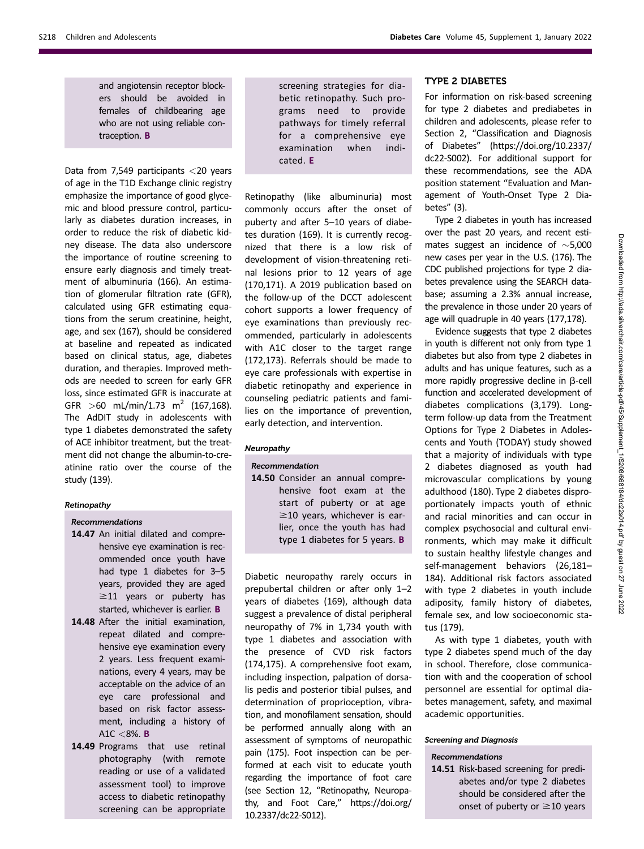and angiotensin receptor blockers should be avoided in females of childbearing age who are not using reliable contraception. B

Data from 7,549 participants <20 years of age in the T1D Exchange clinic registry emphasize the importance of good glycemic and blood pressure control, particularly as diabetes duration increases, in order to reduce the risk of diabetic kidney disease. The data also underscore the importance of routine screening to ensure early diagnosis and timely treatment of albuminuria (166). An estimation of glomerular filtration rate (GFR), calculated using GFR estimating equations from the serum creatinine, height, age, and sex (167), should be considered at baseline and repeated as indicated based on clinical status, age, diabetes duration, and therapies. Improved methods are needed to screen for early GFR loss, since estimated GFR is inaccurate at GFR  $>60$  mL/min/1.73 m<sup>2</sup> (167,168). The AdDIT study in adolescents with type 1 diabetes demonstrated the safety of ACE inhibitor treatment, but the treatment did not change the albumin-to-creatinine ratio over the course of the study (139).

## Retinopathy

# Recommendations

- 14.47 An initial dilated and comprehensive eye examination is recommended once youth have had type 1 diabetes for 3–5 years, provided they are aged  $\geq$ 11 years or puberty has started, whichever is earlier. B
- 14.48 After the initial examination, repeat dilated and comprehensive eye examination every 2 years. Less frequent examinations, every 4 years, may be acceptable on the advice of an eye care professional and based on risk factor assessment, including a history of A1C  $<$ 8%. B
- 14.49 Programs that use retinal photography (with remote reading or use of a validated assessment tool) to improve access to diabetic retinopathy screening can be appropriate

screening strategies for diabetic retinopathy. Such programs need to provide pathways for timely referral for a comprehensive eye examination when indicated. E

Retinopathy (like albuminuria) most commonly occurs after the onset of puberty and after 5–10 years of diabetes duration (169). It is currently recognized that there is a low risk of development of vision-threatening retinal lesions prior to 12 years of age (170,171). A 2019 publication based on the follow-up of the DCCT adolescent cohort supports a lower frequency of eye examinations than previously recommended, particularly in adolescents with A1C closer to the target range (172,173). Referrals should be made to eye care professionals with expertise in diabetic retinopathy and experience in counseling pediatric patients and families on the importance of prevention, early detection, and intervention.

## Neuropathy

## Recommendation

14.50 Consider an annual comprehensive foot exam at the start of puberty or at age  $\geq$ 10 years, whichever is earlier, once the youth has had type 1 diabetes for 5 years. B

Diabetic neuropathy rarely occurs in prepubertal children or after only 1–2 years of diabetes (169), although data suggest a prevalence of distal peripheral neuropathy of 7% in 1,734 youth with type 1 diabetes and association with the presence of CVD risk factors (174,175). A comprehensive foot exam, including inspection, palpation of dorsalis pedis and posterior tibial pulses, and determination of proprioception, vibration, and monofilament sensation, should be performed annually along with an assessment of symptoms of neuropathic pain (175). Foot inspection can be performed at each visit to educate youth regarding the importance of foot care (see Section 12, "Retinopathy, Neuropathy, and Foot Care," [https://doi.org/](https://doi.org/10.2337/dc22-S012) [10.2337/dc22-S012](https://doi.org/10.2337/dc22-S012)).

# TYPE 2 DIABETES

For information on risk-based screening for type 2 diabetes and prediabetes in children and adolescents, please refer to Section 2, "Classification and Diagnosis of Diabetes" ([https://doi.org/10.2337/](https://doi.org/10.2337/dc22-S002) [dc22-S002](https://doi.org/10.2337/dc22-S002)). For additional support for these recommendations, see the ADA position statement "Evaluation and Management of Youth-Onset Type 2 Diabetes" (3).

Type 2 diabetes in youth has increased over the past 20 years, and recent estimates suggest an incidence of  $\sim$ 5,000 new cases per year in the U.S. (176). The CDC published projections for type 2 diabetes prevalence using the SEARCH database; assuming a 2.3% annual increase, the prevalence in those under 20 years of age will quadruple in 40 years (177,178).

Evidence suggests that type 2 diabetes in youth is different not only from type 1 diabetes but also from type 2 diabetes in adults and has unique features, such as a more rapidly progressive decline in  $\beta$ -cell function and accelerated development of diabetes complications (3,179). Longterm follow-up data from the Treatment Options for Type 2 Diabetes in Adolescents and Youth (TODAY) study showed that a majority of individuals with type 2 diabetes diagnosed as youth had microvascular complications by young adulthood (180). Type 2 diabetes disproportionately impacts youth of ethnic and racial minorities and can occur in complex psychosocial and cultural environments, which may make it difficult to sustain healthy lifestyle changes and self-management behaviors (26,181– 184). Additional risk factors associated with type 2 diabetes in youth include adiposity, family history of diabetes, female sex, and low socioeconomic status (179).

As with type 1 diabetes, youth with type 2 diabetes spend much of the day in school. Therefore, close communication with and the cooperation of school personnel are essential for optimal diabetes management, safety, and maximal academic opportunities.

## Screening and Diagnosis

## Recommendations

14.51 Risk-based screening for prediabetes and/or type 2 diabetes should be considered after the onset of puberty or  $\geq$ 10 years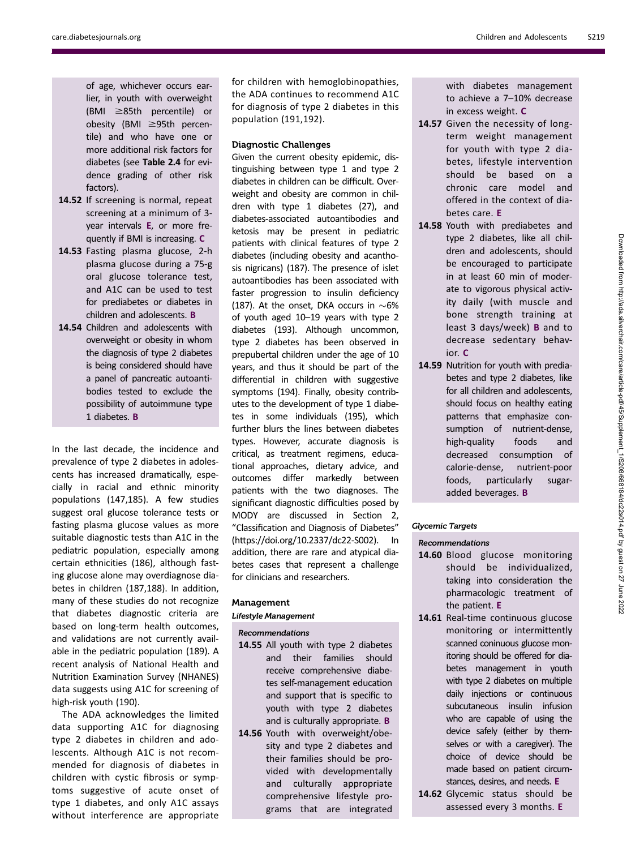of age, whichever occurs earlier, in youth with overweight (BMI  $\geq$ 85th percentile) or obesity (BMI  $\geq$ 95th percentile) and who have one or more additional risk factors for diabetes (see Table 2.4 for evidence grading of other risk factors).

- 14.52 If screening is normal, repeat screening at a minimum of 3 year intervals E, or more frequently if BMI is increasing. C
- 14.53 Fasting plasma glucose, 2-h plasma glucose during a 75-g oral glucose tolerance test, and A1C can be used to test for prediabetes or diabetes in children and adolescents. B
- 14.54 Children and adolescents with overweight or obesity in whom the diagnosis of type 2 diabetes is being considered should have a panel of pancreatic autoantibodies tested to exclude the possibility of autoimmune type 1 diabetes. B

In the last decade, the incidence and prevalence of type 2 diabetes in adolescents has increased dramatically, especially in racial and ethnic minority populations (147,185). A few studies suggest oral glucose tolerance tests or fasting plasma glucose values as more suitable diagnostic tests than A1C in the pediatric population, especially among certain ethnicities (186), although fasting glucose alone may overdiagnose diabetes in children (187,188). In addition, many of these studies do not recognize that diabetes diagnostic criteria are based on long-term health outcomes, and validations are not currently available in the pediatric population (189). A recent analysis of National Health and Nutrition Examination Survey (NHANES) data suggests using A1C for screening of high-risk youth (190).

The ADA acknowledges the limited data supporting A1C for diagnosing type 2 diabetes in children and adolescents. Although A1C is not recommended for diagnosis of diabetes in children with cystic fibrosis or symptoms suggestive of acute onset of type 1 diabetes, and only A1C assays without interference are appropriate

for children with hemoglobinopathies, the ADA continues to recommend A1C for diagnosis of type 2 diabetes in this population (191,192).

# Diagnostic Challenges

Given the current obesity epidemic, distinguishing between type 1 and type 2 diabetes in children can be difficult. Overweight and obesity are common in children with type 1 diabetes (27), and diabetes-associated autoantibodies and ketosis may be present in pediatric patients with clinical features of type 2 diabetes (including obesity and acanthosis nigricans) (187). The presence of islet autoantibodies has been associated with faster progression to insulin deficiency (187). At the onset, DKA occurs in  $\sim$  6% of youth aged 10–19 years with type 2 diabetes (193). Although uncommon, type 2 diabetes has been observed in prepubertal children under the age of 10 years, and thus it should be part of the differential in children with suggestive symptoms (194). Finally, obesity contributes to the development of type 1 diabetes in some individuals (195), which further blurs the lines between diabetes types. However, accurate diagnosis is critical, as treatment regimens, educational approaches, dietary advice, and outcomes differ markedly between patients with the two diagnoses. The significant diagnostic difficulties posed by MODY are discussed in Section 2, "Classification and Diagnosis of Diabetes" ([https://doi.org/10.2337/dc22-S002\)](https://doi.org/10.2337/dc22-S002). In addition, there are rare and atypical diabetes cases that represent a challenge for clinicians and researchers.

# Management

## Lifestyle Management

## Recommendations

- 14.55 All youth with type 2 diabetes and their families should receive comprehensive diabetes self-management education and support that is specific to youth with type 2 diabetes and is culturally appropriate. B
- 14.56 Youth with overweight/obesity and type 2 diabetes and their families should be provided with developmentally and culturally appropriate comprehensive lifestyle programs that are integrated

with diabetes management to achieve a 7–10% decrease in excess weight. C

- 14.57 Given the necessity of longterm weight management for youth with type 2 diabetes, lifestyle intervention should be based on a chronic care model and offered in the context of diabetes care. E
- 14.58 Youth with prediabetes and type 2 diabetes, like all children and adolescents, should be encouraged to participate in at least 60 min of moderate to vigorous physical activity daily (with muscle and bone strength training at least 3 days/week) B and to decrease sedentary behavior. C
- 14.59 Nutrition for youth with prediabetes and type 2 diabetes, like for all children and adolescents, should focus on healthy eating patterns that emphasize consumption of nutrient-dense, high-quality foods and decreased consumption of calorie-dense, nutrient-poor foods, particularly sugaradded beverages. B

## Glycemic Targets

- 14.60 Blood glucose monitoring should be individualized, taking into consideration the pharmacologic treatment of the patient. E
- 14.61 Real-time continuous glucose monitoring or intermittently scanned coninuous glucose monitoring should be offered for diabetes management in youth with type 2 diabetes on multiple daily injections or continuous subcutaneous insulin infusion who are capable of using the device safely (either by themselves or with a caregiver). The choice of device should be made based on patient circumstances, desires, and needs. E
- 14.62 Glycemic status should be assessed every 3 months. E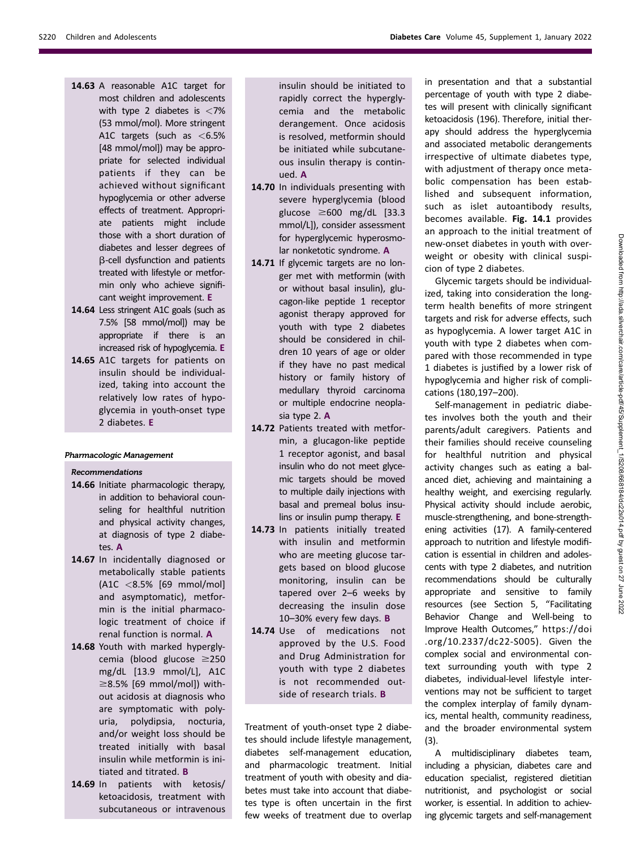- 14.63 A reasonable A1C target for most children and adolescents with type 2 diabetes is  $\langle 7\%$ (53 mmol/mol). More stringent A1C targets (such as <6.5% [48 mmol/mol]) may be appropriate for selected individual patients if they can be achieved without significant hypoglycemia or other adverse effects of treatment. Appropriate patients might include those with a short duration of diabetes and lesser degrees of  $\beta$ -cell dysfunction and patients treated with lifestyle or metformin only who achieve significant weight improvement. E
- 14.64 Less stringent A1C goals (such as 7.5% [58 mmol/mol]) may be appropriate if there is an increased risk of hypoglycemia. E
- 14.65 A1C targets for patients on insulin should be individualized, taking into account the relatively low rates of hypoglycemia in youth-onset type 2 diabetes. E

## Pharmacologic Management

## Recommendations

- 14.66 Initiate pharmacologic therapy, in addition to behavioral counseling for healthful nutrition and physical activity changes, at diagnosis of type 2 diabetes. A
- 14.67 In incidentally diagnosed or metabolically stable patients (A1C <8.5% [69 mmol/mol] and asymptomatic), metformin is the initial pharmacologic treatment of choice if renal function is normal. A
- 14.68 Youth with marked hyperglycemia (blood glucose  $\geq$ 250 mg/dL [13.9 mmol/L], A1C  $\geq$ 8.5% [69 mmol/mol]) without acidosis at diagnosis who are symptomatic with polyuria, polydipsia, nocturia, and/or weight loss should be treated initially with basal insulin while metformin is initiated and titrated. B
- 14.69 In patients with ketosis/ ketoacidosis, treatment with subcutaneous or intravenous

insulin should be initiated to rapidly correct the hyperglycemia and the metabolic derangement. Once acidosis is resolved, metformin should be initiated while subcutaneous insulin therapy is continued. A

- 14.70 In individuals presenting with severe hyperglycemia (blood glucose  $\geq 600$  mg/dL [33.3 mmol/L]), consider assessment for hyperglycemic hyperosmolar nonketotic syndrome. A
- 14.71 If glycemic targets are no longer met with metformin (with or without basal insulin), glucagon-like peptide 1 receptor agonist therapy approved for youth with type 2 diabetes should be considered in children 10 years of age or older if they have no past medical history or family history of medullary thyroid carcinoma or multiple endocrine neoplasia type 2. A
- 14.72 Patients treated with metformin, a glucagon-like peptide 1 receptor agonist, and basal insulin who do not meet glycemic targets should be moved to multiple daily injections with basal and premeal bolus insulins or insulin pump therapy. E
- 14.73 In patients initially treated with insulin and metformin who are meeting glucose targets based on blood glucose monitoring, insulin can be tapered over 2–6 weeks by decreasing the insulin dose 10–30% every few days. B
- 14.74 Use of medications not approved by the U.S. Food and Drug Administration for youth with type 2 diabetes is not recommended outside of research trials. B

Treatment of youth-onset type 2 diabetes should include lifestyle management, diabetes self-management education, and pharmacologic treatment. Initial treatment of youth with obesity and diabetes must take into account that diabetes type is often uncertain in the first few weeks of treatment due to overlap

in presentation and that a substantial percentage of youth with type 2 diabetes will present with clinically significant ketoacidosis (196). Therefore, initial therapy should address the hyperglycemia and associated metabolic derangements irrespective of ultimate diabetes type, with adjustment of therapy once metabolic compensation has been established and subsequent information, such as islet autoantibody results, becomes available. Fig. 14.1 provides an approach to the initial treatment of new-onset diabetes in youth with overweight or obesity with clinical suspicion of type 2 diabetes.

Glycemic targets should be individualized, taking into consideration the longterm health benefits of more stringent targets and risk for adverse effects, such as hypoglycemia. A lower target A1C in youth with type 2 diabetes when compared with those recommended in type 1 diabetes is justified by a lower risk of hypoglycemia and higher risk of complications (180,197–200).

Self-management in pediatric diabetes involves both the youth and their parents/adult caregivers. Patients and their families should receive counseling for healthful nutrition and physical activity changes such as eating a balanced diet, achieving and maintaining a healthy weight, and exercising regularly. Physical activity should include aerobic, muscle-strengthening, and bone-strengthening activities (17). A family-centered approach to nutrition and lifestyle modification is essential in children and adolescents with type 2 diabetes, and nutrition recommendations should be culturally appropriate and sensitive to family resources (see Section 5, "Facilitating Behavior Change and Well-being to Improve Health Outcomes," [https://doi](https://doi.org/10.2337/dc22-S005) [.org/10.2337/dc22-S005](https://doi.org/10.2337/dc22-S005)). Given the complex social and environmental context surrounding youth with type 2 diabetes, individual-level lifestyle interventions may not be sufficient to target the complex interplay of family dynamics, mental health, community readiness, and the broader environmental system (3).

A multidisciplinary diabetes team, including a physician, diabetes care and education specialist, registered dietitian nutritionist, and psychologist or social worker, is essential. In addition to achieving glycemic targets and self-management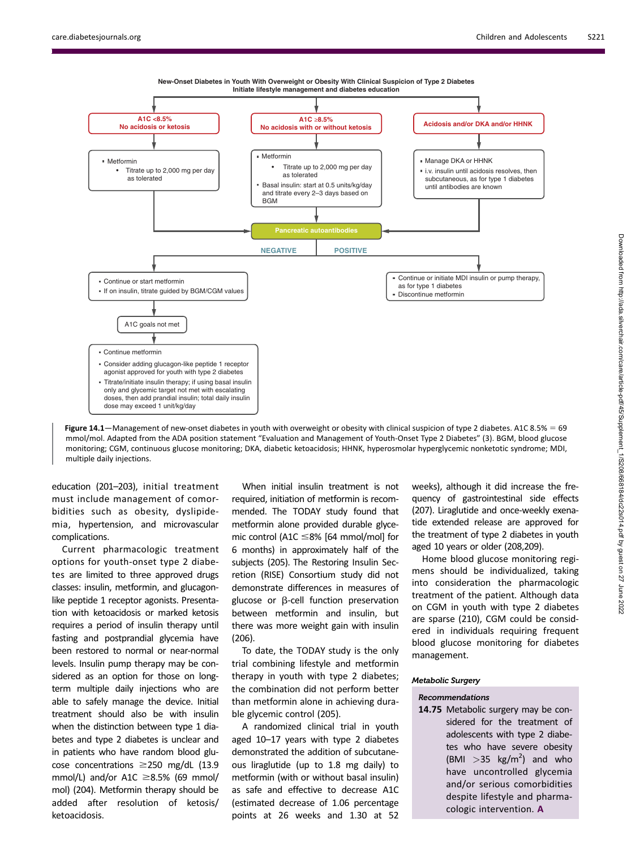

**New-Onset Diabetes in Youth With Overweight or Obesity With Clinical Suspicion of Type 2 Diabetes**

Figure 14.1—Management of new-onset diabetes in youth with overweight or obesity with clinical suspicion of type 2 diabetes. A1C 8.5% = 69 mmol/mol. Adapted from the ADA position statement "Evaluation and Management of Youth-Onset Type 2 Diabetes" (3). BGM, blood glucose monitoring; CGM, continuous glucose monitoring; DKA, diabetic ketoacidosis; HHNK, hyperosmolar hyperglycemic nonketotic syndrome; MDI, multiple daily injections.

education (201–203), initial treatment must include management of comorbidities such as obesity, dyslipidemia, hypertension, and microvascular complications.

Current pharmacologic treatment options for youth-onset type 2 diabetes are limited to three approved drugs classes: insulin, metformin, and glucagonlike peptide 1 receptor agonists. Presentation with ketoacidosis or marked ketosis requires a period of insulin therapy until fasting and postprandial glycemia have been restored to normal or near-normal levels. Insulin pump therapy may be considered as an option for those on longterm multiple daily injections who are able to safely manage the device. Initial treatment should also be with insulin when the distinction between type 1 diabetes and type 2 diabetes is unclear and in patients who have random blood glucose concentrations  $\geq$ 250 mg/dL (13.9 mmol/L) and/or A1C  $\geq$ 8.5% (69 mmol/ mol) (204). Metformin therapy should be added after resolution of ketosis/ ketoacidosis.

When initial insulin treatment is not required, initiation of metformin is recommended. The TODAY study found that metformin alone provided durable glycemic control (A1C  $\leq$ 8% [64 mmol/mol] for 6 months) in approximately half of the subjects (205). The Restoring Insulin Secretion (RISE) Consortium study did not demonstrate differences in measures of glucose or b-cell function preservation between metformin and insulin, but there was more weight gain with insulin (206).

To date, the TODAY study is the only trial combining lifestyle and metformin therapy in youth with type 2 diabetes; the combination did not perform better than metformin alone in achieving durable glycemic control (205).

A randomized clinical trial in youth aged 10–17 years with type 2 diabetes demonstrated the addition of subcutaneous liraglutide (up to 1.8 mg daily) to metformin (with or without basal insulin) as safe and effective to decrease A1C (estimated decrease of 1.06 percentage points at 26 weeks and 1.30 at 52

weeks), although it did increase the frequency of gastrointestinal side effects (207). Liraglutide and once-weekly exenatide extended release are approved for the treatment of type 2 diabetes in youth aged 10 years or older (208,209).

Home blood glucose monitoring regimens should be individualized, taking into consideration the pharmacologic treatment of the patient. Although data on CGM in youth with type 2 diabetes are sparse (210), CGM could be considered in individuals requiring frequent blood glucose monitoring for diabetes management.

## Metabolic Surgery

#### Recommendations

14.75 Metabolic surgery may be considered for the treatment of adolescents with type 2 diabetes who have severe obesity  $(BMI > 35 kg/m<sup>2</sup>)$  and who have uncontrolled glycemia and/or serious comorbidities despite lifestyle and pharmacologic intervention. A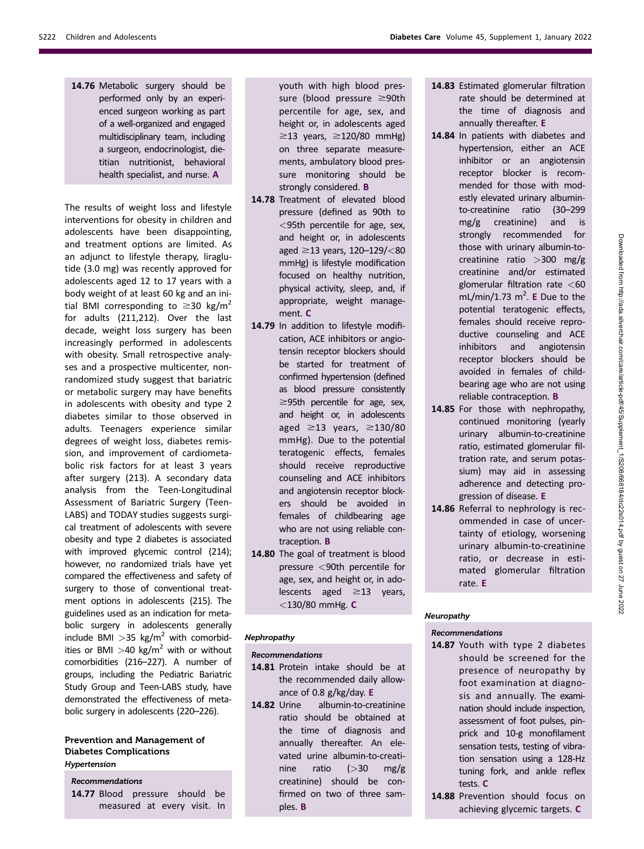14.76 Metabolic surgery should be performed only by an experienced surgeon working as part of a well-organized and engaged multidisciplinary team, including a surgeon, endocrinologist, dietitian nutritionist, behavioral health specialist, and nurse. A

The results of weight loss and lifestyle interventions for obesity in children and adolescents have been disappointing, and treatment options are limited. As an adjunct to lifestyle therapy, liraglutide (3.0 mg) was recently approved for adolescents aged 12 to 17 years with a body weight of at least 60 kg and an initial BMI corresponding to  $\geq$ 30 kg/m<sup>2</sup> for adults (211,212). Over the last decade, weight loss surgery has been increasingly performed in adolescents with obesity. Small retrospective analyses and a prospective multicenter, nonrandomized study suggest that bariatric or metabolic surgery may have benefits in adolescents with obesity and type 2 diabetes similar to those observed in adults. Teenagers experience similar degrees of weight loss, diabetes remission, and improvement of cardiometabolic risk factors for at least 3 years after surgery (213). A secondary data analysis from the Teen-Longitudinal Assessment of Bariatric Surgery (Teen-LABS) and TODAY studies suggests surgical treatment of adolescents with severe obesity and type 2 diabetes is associated with improved glycemic control (214); however, no randomized trials have yet compared the effectiveness and safety of surgery to those of conventional treatment options in adolescents (215). The guidelines used as an indication for metabolic surgery in adolescents generally include BMI  $>$ 35 kg/m<sup>2</sup> with comorbidities or BMI  $>$ 40 kg/m<sup>2</sup> with or without comorbidities (216–227). A number of groups, including the Pediatric Bariatric Study Group and Teen-LABS study, have demonstrated the effectiveness of metabolic surgery in adolescents (220–226).

# Prevention and Management of Diabetes Complications

# Hypertension

## Recommendations

14.77 Blood pressure should be measured at every visit. In youth with high blood pressure (blood pressure  $\geq$ 90th percentile for age, sex, and height or, in adolescents aged  $\ge$ 13 years,  $\ge$ 120/80 mmHg) on three separate measurements, ambulatory blood pressure monitoring should be strongly considered. B

- 14.78 Treatment of elevated blood pressure (defined as 90th to <95th percentile for age, sex, and height or, in adolescents aged  $\geq$ 13 years, 120-129/<80 mmHg) is lifestyle modification focused on healthy nutrition, physical activity, sleep, and, if appropriate, weight management. C
- 14.79 In addition to lifestyle modification, ACE inhibitors or angiotensin receptor blockers should be started for treatment of confirmed hypertension (defined as blood pressure consistently  $\geq$ 95th percentile for age, sex, and height or, in adolescents aged  $\geq$ 13 years,  $\geq$ 130/80 mmHg). Due to the potential teratogenic effects, females should receive reproductive counseling and ACE inhibitors and angiotensin receptor blockers should be avoided in females of childbearing age who are not using reliable contraception. B
- 14.80 The goal of treatment is blood pressure <90th percentile for age, sex, and height or, in adolescents aged  $\geq$ 13 years,  $<$ 130/80 mmHg. C

# Nephropathy

## Recommendations

- 14.81 Protein intake should be at the recommended daily allowance of 0.8 g/kg/day. E
- 14.82 Urine albumin-to-creatinine ratio should be obtained at the time of diagnosis and annually thereafter. An elevated urine albumin-to-creatinine ratio (>30 mg/g creatinine) should be confirmed on two of three samples. B
- 14.83 Estimated glomerular filtration rate should be determined at the time of diagnosis and annually thereafter. E
- 14.84 In patients with diabetes and hypertension, either an ACE inhibitor or an angiotensin receptor blocker is recommended for those with modestly elevated urinary albuminto-creatinine ratio (30–299 mg/g creatinine) and is strongly recommended for those with urinary albumin-tocreatinine ratio >300 mg/g creatinine and/or estimated glomerular filtration rate  $<$  60  $mL/min/1.73 m<sup>2</sup>$ . E Due to the potential teratogenic effects, females should receive reproductive counseling and ACE inhibitors and angiotensin receptor blockers should be avoided in females of childbearing age who are not using reliable contraception. B
- 14.85 For those with nephropathy, continued monitoring (yearly urinary albumin-to-creatinine ratio, estimated glomerular filtration rate, and serum potassium) may aid in assessing adherence and detecting progression of disease. E
- 14.86 Referral to nephrology is recommended in case of uncertainty of etiology, worsening urinary albumin-to-creatinine ratio, or decrease in estimated glomerular filtration rate. E

## **Neuropathy**

- 14.87 Youth with type 2 diabetes should be screened for the presence of neuropathy by foot examination at diagnosis and annually. The examination should include inspection, assessment of foot pulses, pinprick and 10-g monofilament sensation tests, testing of vibration sensation using a 128-Hz tuning fork, and ankle reflex tests. C
- 14.88 Prevention should focus on achieving glycemic targets. C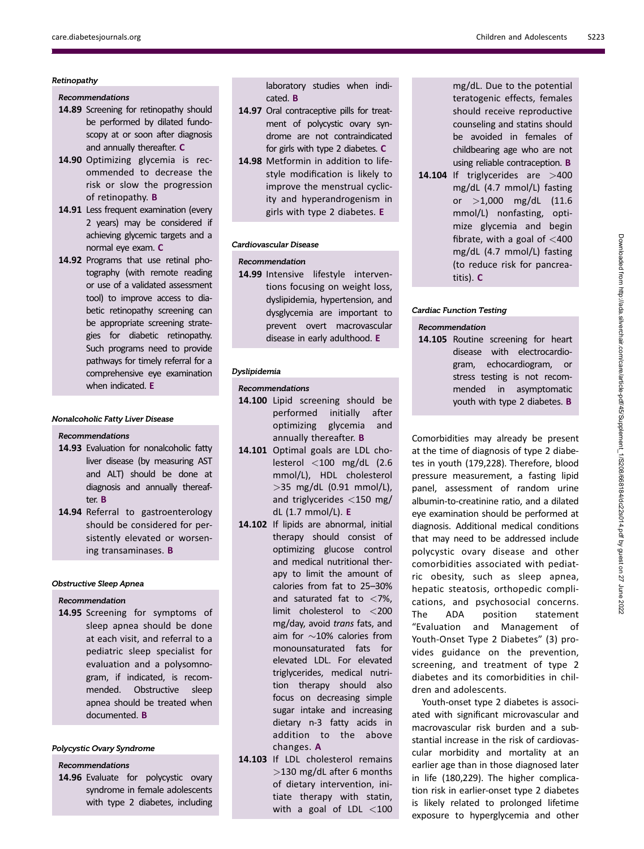# Retinopathy

# Recommendations

- 14.89 Screening for retinopathy should be performed by dilated fundoscopy at or soon after diagnosis and annually thereafter. C
- 14.90 Optimizing glycemia is recommended to decrease the risk or slow the progression of retinopathy. B
- 14.91 Less frequent examination (every 2 years) may be considered if achieving glycemic targets and a normal eye exam. C
- 14.92 Programs that use retinal photography (with remote reading or use of a validated assessment tool) to improve access to diabetic retinopathy screening can be appropriate screening strategies for diabetic retinopathy. Such programs need to provide pathways for timely referral for a comprehensive eye examination when indicated. **E**

## Nonalcoholic Fatty Liver Disease

## Recommendations

- 14.93 Evaluation for nonalcoholic fatty liver disease (by measuring AST and ALT) should be done at diagnosis and annually thereafter. B
- 14.94 Referral to gastroenterology should be considered for persistently elevated or worsening transaminases. B

## Obstructive Sleep Apnea

# Recommendation

14.95 Screening for symptoms of sleep apnea should be done at each visit, and referral to a pediatric sleep specialist for evaluation and a polysomnogram, if indicated, is recommended. Obstructive sleep apnea should be treated when documented. B

## Polycystic Ovary Syndrome

## Recommendations

14.96 Evaluate for polycystic ovary syndrome in female adolescents with type 2 diabetes, including

laboratory studies when indicated. B

- 14.97 Oral contraceptive pills for treatment of polycystic ovary syndrome are not contraindicated for girls with type 2 diabetes. C
- 14.98 Metformin in addition to lifestyle modification is likely to improve the menstrual cyclicity and hyperandrogenism in girls with type 2 diabetes. E

# Cardiovascular Disease

## Recommendation

14.99 Intensive lifestyle interventions focusing on weight loss, dyslipidemia, hypertension, and dysglycemia are important to prevent overt macrovascular disease in early adulthood. E

# Dyslipidemia

# Recommendations

- 14.100 Lipid screening should be performed initially after optimizing glycemia and annually thereafter. B
- 14.101 Optimal goals are LDL cholesterol <100 mg/dL (2.6 mmol/L), HDL cholesterol  $>$ 35 mg/dL (0.91 mmol/L), and triglycerides <150 mg/ dL (1.7 mmol/L). E
- 14.102 If lipids are abnormal, initial therapy should consist of optimizing glucose control and medical nutritional therapy to limit the amount of calories from fat to 25–30% and saturated fat to  $<$ 7%, limit cholesterol to <200 mg/day, avoid trans fats, and aim for  $\sim$ 10% calories from monounsaturated fats for elevated LDL. For elevated triglycerides, medical nutrition therapy should also focus on decreasing simple sugar intake and increasing dietary n-3 fatty acids in addition to the above changes. A
- 14.103 If LDL cholesterol remains >130 mg/dL after 6 months of dietary intervention, initiate therapy with statin, with a goal of LDL  $<$ 100

mg/dL. Due to the potential teratogenic effects, females should receive reproductive counseling and statins should be avoided in females of childbearing age who are not using reliable contraception. B

14.104 If triglycerides are  $>400$ mg/dL (4.7 mmol/L) fasting or >1,000 mg/dL (11.6 mmol/L) nonfasting, optimize glycemia and begin fibrate, with a goal of <400 mg/dL (4.7 mmol/L) fasting (to reduce risk for pancreatitis). C

# Cardiac Function Testing

## Recommendation

14.105 Routine screening for heart disease with electrocardiogram, echocardiogram, or stress testing is not recommended in asymptomatic youth with type 2 diabetes. B

Comorbidities may already be present at the time of diagnosis of type 2 diabetes in youth (179,228). Therefore, blood pressure measurement, a fasting lipid panel, assessment of random urine albumin-to-creatinine ratio, and a dilated eye examination should be performed at diagnosis. Additional medical conditions that may need to be addressed include polycystic ovary disease and other comorbidities associated with pediatric obesity, such as sleep apnea, hepatic steatosis, orthopedic complications, and psychosocial concerns. The ADA position statement "Evaluation and Management of Youth-Onset Type 2 Diabetes" (3) provides guidance on the prevention, screening, and treatment of type 2 diabetes and its comorbidities in children and adolescents.

Youth-onset type 2 diabetes is associated with significant microvascular and macrovascular risk burden and a substantial increase in the risk of cardiovascular morbidity and mortality at an earlier age than in those diagnosed later in life (180,229). The higher complication risk in earlier-onset type 2 diabetes is likely related to prolonged lifetime exposure to hyperglycemia and other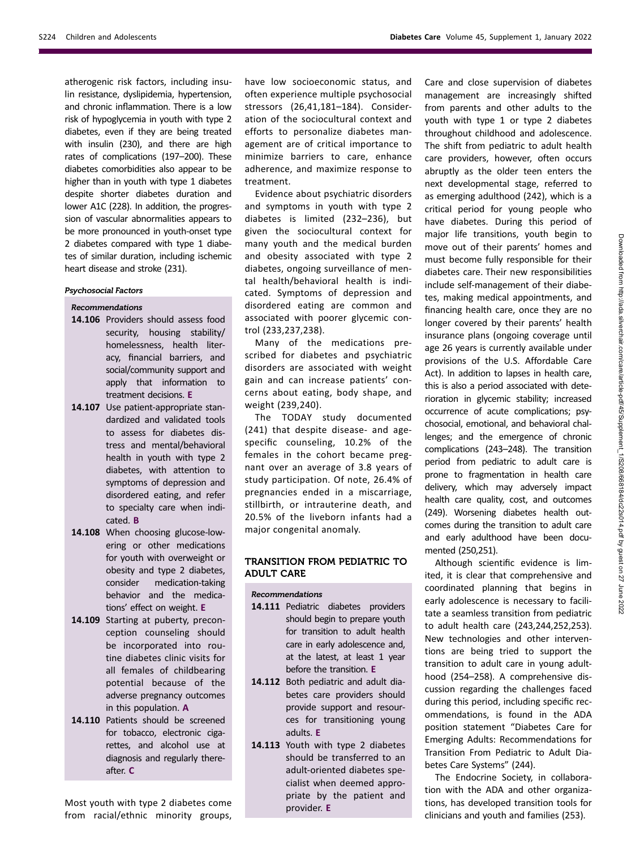atherogenic risk factors, including insulin resistance, dyslipidemia, hypertension, and chronic inflammation. There is a low risk of hypoglycemia in youth with type 2 diabetes, even if they are being treated with insulin (230), and there are high rates of complications (197–200). These diabetes comorbidities also appear to be higher than in youth with type 1 diabetes despite shorter diabetes duration and lower A1C (228). In addition, the progression of vascular abnormalities appears to be more pronounced in youth-onset type 2 diabetes compared with type 1 diabetes of similar duration, including ischemic heart disease and stroke (231).

# Psychosocial Factors

# Recommendations

- 14.106 Providers should assess food security, housing stability/ homelessness, health literacy, financial barriers, and social/community support and apply that information to treatment decisions. E
- 14.107 Use patient-appropriate standardized and validated tools to assess for diabetes distress and mental/behavioral health in youth with type 2 diabetes, with attention to symptoms of depression and disordered eating, and refer to specialty care when indicated. B
- 14.108 When choosing glucose-lowering or other medications for youth with overweight or obesity and type 2 diabetes, consider medication-taking behavior and the medications' effect on weight. E
- 14.109 Starting at puberty, preconception counseling should be incorporated into routine diabetes clinic visits for all females of childbearing potential because of the adverse pregnancy outcomes in this population. A
- 14.110 Patients should be screened for tobacco, electronic cigarettes, and alcohol use at diagnosis and regularly thereafter. C

Most youth with type 2 diabetes come from racial/ethnic minority groups, have low socioeconomic status, and often experience multiple psychosocial stressors (26,41,181–184). Consideration of the sociocultural context and efforts to personalize diabetes management are of critical importance to minimize barriers to care, enhance adherence, and maximize response to treatment.

Evidence about psychiatric disorders and symptoms in youth with type 2 diabetes is limited (232–236), but given the sociocultural context for many youth and the medical burden and obesity associated with type 2 diabetes, ongoing surveillance of mental health/behavioral health is indicated. Symptoms of depression and disordered eating are common and associated with poorer glycemic control (233,237,238).

Many of the medications prescribed for diabetes and psychiatric disorders are associated with weight gain and can increase patients' concerns about eating, body shape, and weight (239,240).

The TODAY study documented (241) that despite disease- and agespecific counseling, 10.2% of the females in the cohort became pregnant over an average of 3.8 years of study participation. Of note, 26.4% of pregnancies ended in a miscarriage, stillbirth, or intrauterine death, and 20.5% of the liveborn infants had a major congenital anomaly.

# TRANSITION FROM PEDIATRIC TO ADULT CARE

## Recommendations

- 14.111 Pediatric diabetes providers should begin to prepare youth for transition to adult health care in early adolescence and, at the latest, at least 1 year before the transition. E
- 14.112 Both pediatric and adult diabetes care providers should provide support and resources for transitioning young adults. E
- 14.113 Youth with type 2 diabetes should be transferred to an adult-oriented diabetes specialist when deemed appropriate by the patient and provider. E

Care and close supervision of diabetes management are increasingly shifted from parents and other adults to the youth with type 1 or type 2 diabetes throughout childhood and adolescence. The shift from pediatric to adult health care providers, however, often occurs abruptly as the older teen enters the next developmental stage, referred to as emerging adulthood (242), which is a critical period for young people who have diabetes. During this period of major life transitions, youth begin to move out of their parents' homes and must become fully responsible for their diabetes care. Their new responsibilities include self-management of their diabetes, making medical appointments, and financing health care, once they are no longer covered by their parents' health insurance plans (ongoing coverage until age 26 years is currently available under provisions of the U.S. Affordable Care Act). In addition to lapses in health care, this is also a period associated with deterioration in glycemic stability; increased occurrence of acute complications; psychosocial, emotional, and behavioral challenges; and the emergence of chronic complications (243–248). The transition period from pediatric to adult care is prone to fragmentation in health care delivery, which may adversely impact health care quality, cost, and outcomes (249). Worsening diabetes health outcomes during the transition to adult care and early adulthood have been documented (250,251).

Although scientific evidence is limited, it is clear that comprehensive and coordinated planning that begins in early adolescence is necessary to facilitate a seamless transition from pediatric to adult health care (243,244,252,253). New technologies and other interventions are being tried to support the transition to adult care in young adulthood (254–258). A comprehensive discussion regarding the challenges faced during this period, including specific recommendations, is found in the ADA position statement "Diabetes Care for Emerging Adults: Recommendations for Transition From Pediatric to Adult Diabetes Care Systems" (244).

The Endocrine Society, in collaboration with the ADA and other organizations, has developed transition tools for clinicians and youth and families (253).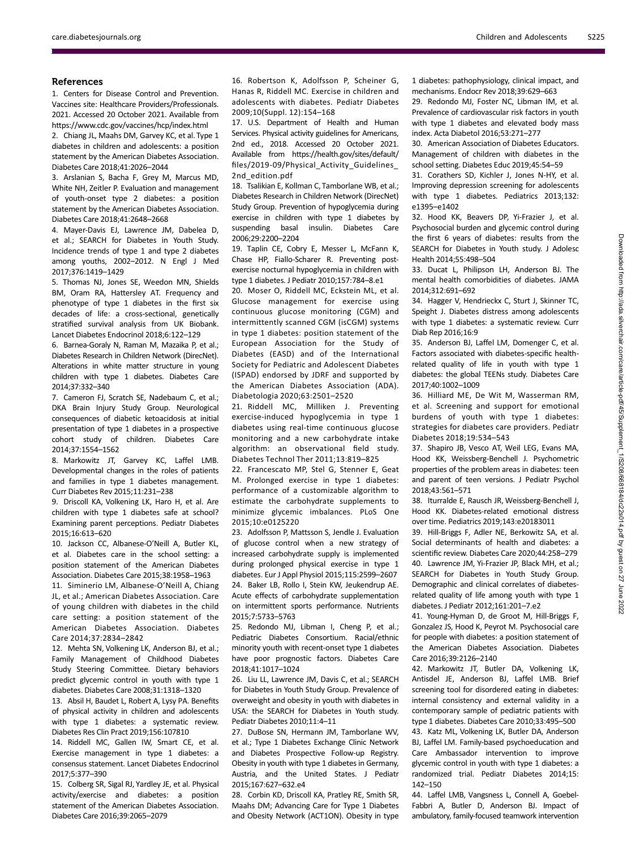## References

1. Centers for Disease Control and Prevention. Vaccines site: Healthcare Providers/Professionals. 2021. Accessed 20 October 2021. Available from <https://www.cdc.gov/vaccines/hcp/index.html>

2. Chiang JL, Maahs DM, Garvey KC, et al. Type 1 diabetes in children and adolescents: a position statement by the American Diabetes Association. Diabetes Care 2018;41:2026–2044

3. Arslanian S, Bacha F, Grey M, Marcus MD, White NH, Zeitler P. Evaluation and management of youth-onset type 2 diabetes: a position statement by the American Diabetes Association. Diabetes Care 2018;41:2648–2668

4. Mayer-Davis EJ, Lawrence JM, Dabelea D, et al.; SEARCH for Diabetes in Youth Study. Incidence trends of type 1 and type 2 diabetes among youths, 2002–2012. N Engl J Med 2017;376:1419–1429

5. Thomas NJ, Jones SE, Weedon MN, Shields BM, Oram RA, Hattersley AT, Frequency and phenotype of type 1 diabetes in the first six decades of life: a cross-sectional, genetically stratified survival analysis from UK Biobank. Lancet Diabetes Endocrinol 2018;6:122–129

6. Barnea-Goraly N, Raman M, Mazaika P, et al.; Diabetes Research in Children Network (DirecNet). Alterations in white matter structure in young children with type 1 diabetes. Diabetes Care 2014;37:332–340

7. Cameron FJ, Scratch SE, Nadebaum C, et al.; DKA Brain Injury Study Group. Neurological consequences of diabetic ketoacidosis at initial presentation of type 1 diabetes in a prospective cohort study of children. Diabetes Care 2014;37:1554–1562

8. Markowitz JT, Garvey KC, Laffel LMB. Developmental changes in the roles of patients and families in type 1 diabetes management. Curr Diabetes Rev 2015;11:231–238

9. Driscoll KA, Volkening LK, Haro H, et al. Are children with type 1 diabetes safe at school? Examining parent perceptions. Pediatr Diabetes 2015;16:613–620

10. Jackson CC, Albanese-O'Neill A, Butler KL, et al. Diabetes care in the school setting: a position statement of the American Diabetes Association. Diabetes Care 2015;38:1958–1963

11. Siminerio LM, Albanese-O'Neill A, Chiang JL, et al.; American Diabetes Association. Care of young children with diabetes in the child care setting: a position statement of the American Diabetes Association. Diabetes Care 2014;37:2834–2842

12. Mehta SN, Volkening LK, Anderson BJ, et al.; Family Management of Childhood Diabetes Study Steering Committee. Dietary behaviors predict glycemic control in youth with type 1 diabetes. Diabetes Care 2008;31:1318–1320

13. Absil H, Baudet L, Robert A, Lysy PA. Benefits of physical activity in children and adolescents with type 1 diabetes: a systematic review. Diabetes Res Clin Pract 2019;156:107810

14. Riddell MC, Gallen IW, Smart CE, et al. Exercise management in type 1 diabetes: a consensus statement. Lancet Diabetes Endocrinol 2017;5:377–390

15. Colberg SR, Sigal RJ, Yardley JE, et al. Physical activity/exercise and diabetes: a position statement of the American Diabetes Association. Diabetes Care 2016;39:2065–2079

16. Robertson K, Adolfsson P, Scheiner G, Hanas R, Riddell MC. Exercise in children and adolescents with diabetes. Pediatr Diabetes 2009;10(Suppl. 12):154–168

17. U.S. Department of Health and Human Services. Physical activity guidelines for Americans, 2nd ed., 2018. Accessed 20 October 2021. Available from [https://health.gov/sites/default/](https://health.gov/sites/default/files/2019-09/Physical_Activity_Guidelines_2nd_edition.pdf) fi[les/2019-09/Physical\\_Activity\\_Guidelines\\_](https://health.gov/sites/default/files/2019-09/Physical_Activity_Guidelines_2nd_edition.pdf) [2nd\\_edition.pdf](https://health.gov/sites/default/files/2019-09/Physical_Activity_Guidelines_2nd_edition.pdf)

18. Tsalikian E, Kollman C, Tamborlane WB, et al.; Diabetes Research in Children Network (DirecNet) Study Group. Prevention of hypoglycemia during exercise in children with type 1 diabetes by suspending basal insulin. Diabetes Care 2006;29:2200–2204

19. Taplin CE, Cobry E, Messer L, McFann K, Chase HP, Fiallo-Scharer R. Preventing postexercise nocturnal hypoglycemia in children with type 1 diabetes. J Pediatr 2010;157:784–8.e1

20. Moser O, Riddell MC, Eckstein ML, et al. Glucose management for exercise using continuous glucose monitoring (CGM) and intermittently scanned CGM (isCGM) systems in type 1 diabetes: position statement of the European Association for the Study of Diabetes (EASD) and of the International Society for Pediatric and Adolescent Diabetes (ISPAD) endorsed by JDRF and supported by the American Diabetes Association (ADA). Diabetologia 2020;63:2501–2520

21. Riddell MC, Milliken J. Preventing exercise-induced hypoglycemia in type 1 diabetes using real-time continuous glucose monitoring and a new carbohydrate intake algorithm: an observational field study. Diabetes Technol Ther 2011;13:819–825

22. Francescato MP, Stel G, Stenner E, Geat M. Prolonged exercise in type 1 diabetes: performance of a customizable algorithm to estimate the carbohydrate supplements to minimize glycemic imbalances. PLoS One 2015;10:e0125220

23. Adolfsson P, Mattsson S, Jendle J. Evaluation of glucose control when a new strategy of increased carbohydrate supply is implemented during prolonged physical exercise in type 1 diabetes. Eur J Appl Physiol 2015;115:2599–2607 24. Baker LB, Rollo I, Stein KW, Jeukendrup AE. Acute effects of carbohydrate supplementation on intermittent sports performance. Nutrients 2015;7:5733–5763

25. Redondo MJ, Libman I, Cheng P, et al.; Pediatric Diabetes Consortium. Racial/ethnic minority youth with recent-onset type 1 diabetes have poor prognostic factors. Diabetes Care 2018;41:1017–1024

26. Liu LL, Lawrence JM, Davis C, et al.; SEARCH for Diabetes in Youth Study Group. Prevalence of overweight and obesity in youth with diabetes in USA: the SEARCH for Diabetes in Youth study. Pediatr Diabetes 2010;11:4–11

27. DuBose SN, Hermann JM, Tamborlane WV, et al.; Type 1 Diabetes Exchange Clinic Network and Diabetes Prospective Follow-up Registry. Obesity in youth with type 1 diabetes in Germany, Austria, and the United States. J Pediatr 2015;167:627–632.e4

28. Corbin KD, Driscoll KA, Pratley RE, Smith SR, Maahs DM; Advancing Care for Type 1 Diabetes and Obesity Network (ACT1ON). Obesity in type

1 diabetes: pathophysiology, clinical impact, and mechanisms. Endocr Rev 2018;39:629–663

29. Redondo MJ, Foster NC, Libman IM, et al. Prevalence of cardiovascular risk factors in youth with type 1 diabetes and elevated body mass index. Acta Diabetol 2016;53:271–277

30. American Association of Diabetes Educators. Management of children with diabetes in the school setting. Diabetes Educ 2019;45:54–59

31. Corathers SD, Kichler J, Jones N-HY, et al. Improving depression screening for adolescents with type 1 diabetes. Pediatrics 2013;132: e1395–e1402

32. Hood KK, Beavers DP, Yi-Frazier J, et al. Psychosocial burden and glycemic control during the first 6 years of diabetes: results from the SEARCH for Diabetes in Youth study. J Adolesc Health 2014;55:498–504

33. Ducat L, Philipson LH, Anderson BJ. The mental health comorbidities of diabetes. JAMA 2014;312:691–692

34. Hagger V, Hendrieckx C, Sturt J, Skinner TC, Speight J. Diabetes distress among adolescents with type 1 diabetes: a systematic review. Curr Diab Rep 2016;16:9

35. Anderson BJ, Laffel LM, Domenger C, et al. Factors associated with diabetes-specific healthrelated quality of life in youth with type 1 diabetes: the global TEENs study. Diabetes Care 2017;40:1002–1009

36. Hilliard ME, De Wit M, Wasserman RM, et al. Screening and support for emotional burdens of youth with type 1 diabetes: strategies for diabetes care providers. Pediatr Diabetes 2018;19:534–543

37. Shapiro JB, Vesco AT, Weil LEG, Evans MA, Hood KK, Weissberg-Benchell J. Psychometric properties of the problem areas in diabetes: teen and parent of teen versions. J Pediatr Psychol 2018;43:561–571

38. Iturralde E, Rausch JR, Weissberg-Benchell J, Hood KK. Diabetes-related emotional distress over time. Pediatrics 2019;143:e20183011

39. Hill-Briggs F, Adler NE, Berkowitz SA, et al. Social determinants of health and diabetes: a scientific review. Diabetes Care 2020;44:258–279 40. Lawrence JM, Yi-Frazier JP, Black MH, et al.; SEARCH for Diabetes in Youth Study Group. Demographic and clinical correlates of diabetesrelated quality of life among youth with type 1 diabetes. J Pediatr 2012;161:201–7.e2

41. Young-Hyman D, de Groot M, Hill-Briggs F, Gonzalez JS, Hood K, Peyrot M. Psychosocial care for people with diabetes: a position statement of the American Diabetes Association. Diabetes Care 2016;39:2126–2140

42. Markowitz JT, Butler DA, Volkening LK, Antisdel JE, Anderson BJ, Laffel LMB. Brief screening tool for disordered eating in diabetes: internal consistency and external validity in a contemporary sample of pediatric patients with type 1 diabetes. Diabetes Care 2010;33:495–500 43. Katz ML, Volkening LK, Butler DA, Anderson BJ, Laffel LM. Family-based psychoeducation and Care Ambassador intervention to improve glycemic control in youth with type 1 diabetes: a randomized trial. Pediatr Diabetes 2014;15: 142–150

44. Laffel LMB, Vangsness L, Connell A, Goebel-Fabbri A, Butler D, Anderson BJ. Impact of ambulatory, family-focused teamwork intervention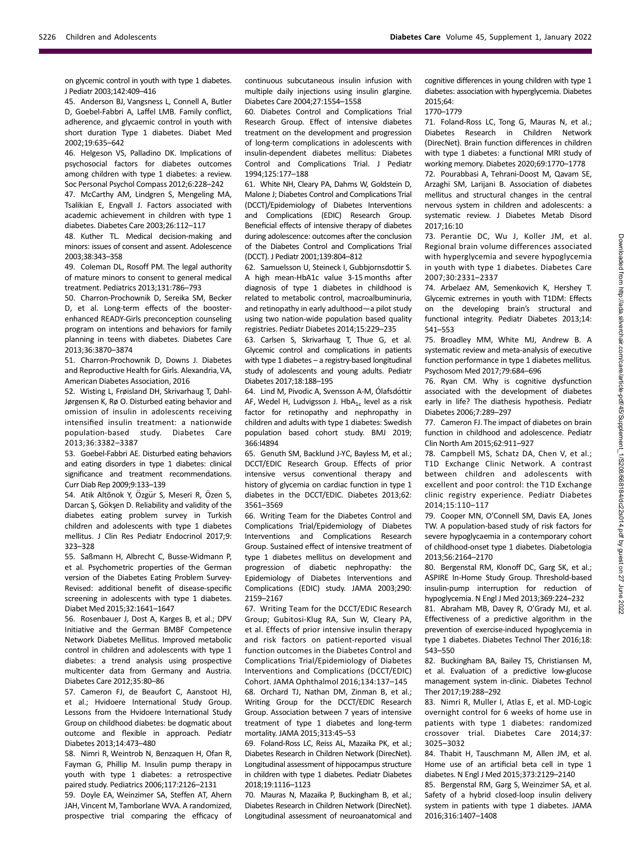on glycemic control in youth with type 1 diabetes. J Pediatr 2003;142:409–416

45. Anderson BJ, Vangsness L, Connell A, Butler D, Goebel-Fabbri A, Laffel LMB. Family conflict, adherence, and glycaemic control in youth with short duration Type 1 diabetes. Diabet Med 2002;19:635–642

46. Helgeson VS, Palladino DK. Implications of psychosocial factors for diabetes outcomes among children with type 1 diabetes: a review. Soc Personal Psychol Compass 2012;6:228–242

47. McCarthy AM, Lindgren S, Mengeling MA, Tsalikian E, Engvall J. Factors associated with academic achievement in children with type 1 diabetes. Diabetes Care 2003;26:112–117

48. Kuther TL. Medical decision-making and minors: issues of consent and assent. Adolescence 2003;38:343–358

49. Coleman DL, Rosoff PM. The legal authority of mature minors to consent to general medical treatment. Pediatrics 2013;131:786–793

50. Charron-Prochownik D, Sereika SM, Becker D, et al. Long-term effects of the boosterenhanced READY-Girls preconception counseling program on intentions and behaviors for family planning in teens with diabetes. Diabetes Care 2013;36:3870–3874

51. Charron-Prochownik D, Downs J. Diabetes and Reproductive Health for Girls. Alexandria, VA, American Diabetes Association, 2016

52. Wisting L, Frøisland DH, Skrivarhaug T, Dahl-Jørgensen K, Rø O. Disturbed eating behavior and omission of insulin in adolescents receiving intensified insulin treatment: a nationwide population-based study. Diabetes Care 2013;36:3382–3387

53. Goebel-Fabbri AE. Disturbed eating behaviors and eating disorders in type 1 diabetes: clinical significance and treatment recommendations. Curr Diab Rep 2009;9:133–139

54. Atik Altõnok Y, Özgür S, Meseri R, Özen S, Darcan Ş, Gökşen D. Reliability and validity of the diabetes eating problem survey in Turkish children and adolescents with type 1 diabetes mellitus. J Clin Res Pediatr Endocrinol 2017;9: 323–328

55. Saßmann H, Albrecht C, Busse-Widmann P, et al. Psychometric properties of the German version of the Diabetes Eating Problem Survey-Revised: additional benefit of disease-specific screening in adolescents with type 1 diabetes. Diabet Med 2015;32:1641–1647

56. Rosenbauer J, Dost A, Karges B, et al.; DPV Initiative and the German BMBF Competence Network Diabetes Mellitus. Improved metabolic control in children and adolescents with type 1 diabetes: a trend analysis using prospective multicenter data from Germany and Austria. Diabetes Care 2012;35:80–86

57. Cameron FJ, de Beaufort C, Aanstoot HJ, et al.; Hvidoere International Study Group. Lessons from the Hvidoere International Study Group on childhood diabetes: be dogmatic about outcome and flexible in approach. Pediatr Diabetes 2013;14:473–480

58. Nimri R, Weintrob N, Benzaquen H, Ofan R, Fayman G, Phillip M. Insulin pump therapy in youth with type 1 diabetes: a retrospective paired study. Pediatrics 2006;117:2126–2131

59. Doyle EA, Weinzimer SA, Steffen AT, Ahern JAH, Vincent M, Tamborlane WVA. A randomized, prospective trial comparing the efficacy of continuous subcutaneous insulin infusion with multiple daily injections using insulin glargine. Diabetes Care 2004;27:1554–1558

60. Diabetes Control and Complications Trial Research Group. Effect of intensive diabetes treatment on the development and progression of long-term complications in adolescents with insulin-dependent diabetes mellitus: Diabetes Control and Complications Trial. J Pediatr 1994;125:177–188

61. White NH, Cleary PA, Dahms W, Goldstein D, Malone J; Diabetes Control and Complications Trial (DCCT)/Epidemiology of Diabetes Interventions and Complications (EDIC) Research Group. Beneficial effects of intensive therapy of diabetes during adolescence: outcomes after the conclusion of the Diabetes Control and Complications Trial (DCCT). J Pediatr 2001;139:804–812

62. Samuelsson U, Steineck I, Gubbjornsdottir S. A high mean-HbA1c value 3-15 months after diagnosis of type 1 diabetes in childhood is related to metabolic control, macroalbuminuria, and retinopathy in early adulthood—a pilot study using two nation-wide population based quality registries. Pediatr Diabetes 2014;15:229–235

63. Carlsen S, Skrivarhaug T, Thue G, et al. Glycemic control and complications in patients with type 1 diabetes – a registry-based longitudinal study of adolescents and young adults. Pediatr Diabetes 2017;18:188–195

64. Lind M, Pivodic A, Svensson A-M, Ólafsdóttir AF, Wedel H, Ludvigsson J.  $HbA_{1c}$  level as a risk factor for retinopathy and nephropathy in children and adults with type 1 diabetes: Swedish population based cohort study. BMJ 2019; 366:l4894

65. Genuth SM, Backlund J-YC, Bayless M, et al.; DCCT/EDIC Research Group. Effects of prior intensive versus conventional therapy and history of glycemia on cardiac function in type 1 diabetes in the DCCT/EDIC. Diabetes 2013;62: 3561–3569

66. Writing Team for the Diabetes Control and Complications Trial/Epidemiology of Diabetes Interventions and Complications Research Group. Sustained effect of intensive treatment of type 1 diabetes mellitus on development and progression of diabetic nephropathy: the Epidemiology of Diabetes Interventions and Complications (EDIC) study. JAMA 2003;290: 2159–2167

67. Writing Team for the DCCT/EDIC Research Group; Gubitosi-Klug RA, Sun W, Cleary PA, et al. Effects of prior intensive insulin therapy and risk factors on patient-reported visual function outcomes in the Diabetes Control and Complications Trial/Epidemiology of Diabetes Interventions and Complications (DCCT/EDIC) Cohort. JAMA Ophthalmol 2016;134:137–145

68. Orchard TJ, Nathan DM, Zinman B, et al.; Writing Group for the DCCT/EDIC Research Group. Association between 7 years of intensive treatment of type 1 diabetes and long-term mortality. JAMA 2015;313:45–53

69. Foland-Ross LC, Reiss AL, Mazaika PK, et al.; Diabetes Research in Children Network (DirecNet). Longitudinal assessment of hippocampus structure in children with type 1 diabetes. Pediatr Diabetes 2018;19:1116–1123

70. Mauras N, Mazaika P, Buckingham B, et al.; Diabetes Research in Children Network (DirecNet). Longitudinal assessment of neuroanatomical and

cognitive differences in young children with type 1 diabetes: association with hyperglycemia. Diabetes 2015;64:

1770–1779

71. Foland-Ross LC, Tong G, Mauras N, et al.; Diabetes Research in Children Network (DirecNet). Brain function differences in children with type 1 diabetes: a functional MRI study of working memory. Diabetes 2020;69:1770–1778

72. Pourabbasi A, Tehrani-Doost M, Qavam SE, Arzaghi SM, Larijani B. Association of diabetes mellitus and structural changes in the central nervous system in children and adolescents: a systematic review. J Diabetes Metab Disord 2017;16:10

73. Perantie DC, Wu J, Koller JM, et al. Regional brain volume differences associated with hyperglycemia and severe hypoglycemia in youth with type 1 diabetes. Diabetes Care 2007;30:2331–2337

74. Arbelaez AM, Semenkovich K, Hershey T. Glycemic extremes in youth with T1DM: Effects on the developing brain's structural and functional integrity. Pediatr Diabetes 2013;14: 541–553

75. Broadley MM, White MJ, Andrew B. A systematic review and meta-analysis of executive function performance in type 1 diabetes mellitus. Psychosom Med 2017;79:684–696

76. Ryan CM. Why is cognitive dysfunction associated with the development of diabetes early in life? The diathesis hypothesis. Pediatr Diabetes 2006;7:289–297

77. Cameron FJ. The impact of diabetes on brain function in childhood and adolescence. Pediatr Clin North Am 2015;62:911–927

78. Campbell MS, Schatz DA, Chen V, et al.; T1D Exchange Clinic Network. A contrast between children and adolescents with excellent and poor control: the T1D Exchange clinic registry experience. Pediatr Diabetes 2014;15:110–117

79. Cooper MN, O'Connell SM, Davis EA, Jones TW. A population-based study of risk factors for severe hypoglycaemia in a contemporary cohort of childhood-onset type 1 diabetes. Diabetologia 2013;56:2164–2170

80. Bergenstal RM, Klonoff DC, Garg SK, et al.; ASPIRE In-Home Study Group. Threshold-based insulin-pump interruption for reduction of hypoglycemia. N Engl J Med 2013;369:224–232 81. Abraham MB, Davey R, O'Grady MJ, et al. Effectiveness of a predictive algorithm in the prevention of exercise-induced hypoglycemia in type 1 diabetes. Diabetes Technol Ther 2016;18: 543–550

82. Buckingham BA, Bailey TS, Christiansen M, et al. Evaluation of a predictive low-glucose management system in-clinic. Diabetes Technol Ther 2017;19:288–292

83. Nimri R, Muller I, Atlas E, et al. MD-Logic overnight control for 6 weeks of home use in patients with type 1 diabetes: randomized crossover trial. Diabetes Care 2014;37: 3025–3032

84. Thabit H, Tauschmann M, Allen JM, et al. Home use of an artificial beta cell in type 1 diabetes. N Engl J Med 2015;373:2129–2140

85. Bergenstal RM, Garg S, Weinzimer SA, et al. Safety of a hybrid closed-loop insulin delivery system in patients with type 1 diabetes. JAMA 2016;316:1407–1408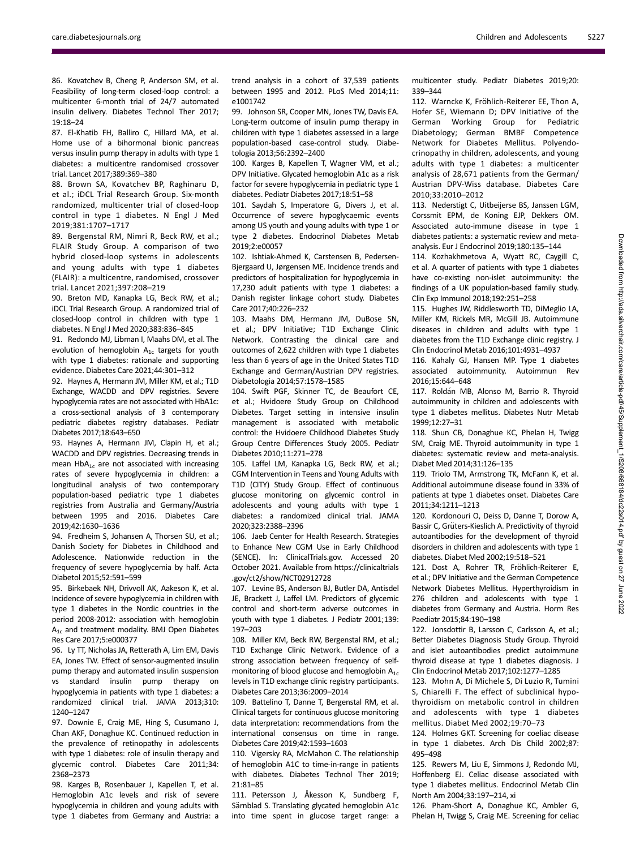86. Kovatchev B, Cheng P, Anderson SM, et al. Feasibility of long-term closed-loop control: a multicenter 6-month trial of 24/7 automated insulin delivery. Diabetes Technol Ther 2017; 19:18–24

87. El-Khatib FH, Balliro C, Hillard MA, et al. Home use of a bihormonal bionic pancreas versus insulin pump therapy in adults with type 1 diabetes: a multicentre randomised crossover trial. Lancet 2017;389:369–380

88. Brown SA, Kovatchev BP, Raghinaru D, et al.; iDCL Trial Research Group. Six-month randomized, multicenter trial of closed-loop control in type 1 diabetes. N Engl J Med 2019;381:1707–1717

89. Bergenstal RM, Nimri R, Beck RW, et al.; FLAIR Study Group. A comparison of two hybrid closed-loop systems in adolescents and young adults with type 1 diabetes (FLAIR): a multicentre, randomised, crossover trial. Lancet 2021;397:208–219

90. Breton MD, Kanapka LG, Beck RW, et al.; iDCL Trial Research Group. A randomized trial of closed-loop control in children with type 1 diabetes. N Engl J Med 2020;383:836–845

91. Redondo MJ, Libman I, Maahs DM, et al. The evolution of hemoglobin  $A_{1c}$  targets for youth with type 1 diabetes: rationale and supporting evidence. Diabetes Care 2021;44:301–312

92. Haynes A, Hermann JM, Miller KM, et al.; T1D Exchange, WACDD and DPV registries. Severe hypoglycemia rates are not associated with HbA1c: a cross-sectional analysis of 3 contemporary pediatric diabetes registry databases. Pediatr Diabetes 2017;18:643–650

93. Haynes A, Hermann JM, Clapin H, et al.; WACDD and DPV registries. Decreasing trends in mean  $HbA_{1c}$  are not associated with increasing rates of severe hypoglycemia in children: a longitudinal analysis of two contemporary population-based pediatric type 1 diabetes registries from Australia and Germany/Austria between 1995 and 2016. Diabetes Care 2019;42:1630–1636

94. Fredheim S, Johansen A, Thorsen SU, et al.; Danish Society for Diabetes in Childhood and Adolescence. Nationwide reduction in the frequency of severe hypoglycemia by half. Acta Diabetol 2015;52:591–599

95. Birkebaek NH, Drivvoll AK, Aakeson K, et al. Incidence of severe hypoglycemia in children with type 1 diabetes in the Nordic countries in the period 2008-2012: association with hemoglobin  $A_{1c}$  and treatment modality. BMJ Open Diabetes Res Care 2017;5:e000377

96. Ly TT, Nicholas JA, Retterath A, Lim EM, Davis EA, Jones TW. Effect of sensor-augmented insulin pump therapy and automated insulin suspension vs standard insulin pump therapy on hypoglycemia in patients with type 1 diabetes: a randomized clinical trial. JAMA 2013;310: 1240–1247

97. Downie E, Craig ME, Hing S, Cusumano J, Chan AKF, Donaghue KC. Continued reduction in the prevalence of retinopathy in adolescents with type 1 diabetes: role of insulin therapy and glycemic control. Diabetes Care 2011;34: 2368–2373

98. Karges B, Rosenbauer J, Kapellen T, et al. Hemoglobin A1c levels and risk of severe hypoglycemia in children and young adults with type 1 diabetes from Germany and Austria: a

trend analysis in a cohort of 37,539 patients between 1995 and 2012. PLoS Med 2014;11: e1001742

99. Johnson SR, Cooper MN, Jones TW, Davis EA. Long-term outcome of insulin pump therapy in children with type 1 diabetes assessed in a large population-based case-control study. Diabetologia 2013;56:2392–2400

100. Karges B, Kapellen T, Wagner VM, et al.; DPV Initiative. Glycated hemoglobin A1c as a risk factor for severe hypoglycemia in pediatric type 1 diabetes. Pediatr Diabetes 2017;18:51–58

101. Saydah S, Imperatore G, Divers J, et al. Occurrence of severe hypoglycaemic events among US youth and young adults with type 1 or type 2 diabetes. Endocrinol Diabetes Metab 2019;2:e00057

102. Ishtiak-Ahmed K, Carstensen B, Pedersen-Bjergaard U, Jørgensen ME. Incidence trends and predictors of hospitalization for hypoglycemia in 17,230 adult patients with type 1 diabetes: a Danish register linkage cohort study. Diabetes Care 2017;40:226–232

103. Maahs DM, Hermann JM, DuBose SN, et al.; DPV Initiative; T1D Exchange Clinic Network. Contrasting the clinical care and outcomes of 2,622 children with type 1 diabetes less than 6 years of age in the United States T1D Exchange and German/Austrian DPV registries. Diabetologia 2014;57:1578–1585

104. Swift PGF, Skinner TC, de Beaufort CE, et al.; Hvidoere Study Group on Childhood Diabetes. Target setting in intensive insulin management is associated with metabolic control: the Hvidoere Childhood Diabetes Study Group Centre Differences Study 2005. Pediatr Diabetes 2010;11:271–278

105. Laffel LM, Kanapka LG, Beck RW, et al.; CGM Intervention in Teens and Young Adults with T1D (CITY) Study Group. Effect of continuous glucose monitoring on glycemic control in adolescents and young adults with type 1 diabetes: a randomized clinical trial. JAMA 2020;323:2388–2396

106. Jaeb Center for Health Research. Strategies to Enhance New CGM Use in Early Childhood (SENCE). In: ClinicalTrials.gov. Accessed 20 October 2021. Available from [https://clinicaltrials](https://clinicaltrials.gov/ct2/show/NCT02912728) [.gov/ct2/show/NCT02912728](https://clinicaltrials.gov/ct2/show/NCT02912728)

107. Levine BS, Anderson BJ, Butler DA, Antisdel JE, Brackett J, Laffel LM. Predictors of glycemic control and short-term adverse outcomes in youth with type 1 diabetes. J Pediatr 2001;139: 197–203

108. Miller KM, Beck RW, Bergenstal RM, et al.; T1D Exchange Clinic Network. Evidence of a strong association between frequency of selfmonitoring of blood glucose and hemoglobin  $A_{1c}$ levels in T1D exchange clinic registry participants. Diabetes Care 2013;36:2009–2014

109. Battelino T, Danne T, Bergenstal RM, et al. Clinical targets for continuous glucose monitoring data interpretation: recommendations from the international consensus on time in range. Diabetes Care 2019;42:1593–1603

110. Vigersky RA, McMahon C. The relationship of hemoglobin A1C to time-in-range in patients with diabetes. Diabetes Technol Ther 2019; 21:81–85

111. Petersson J, Åkesson K, Sundberg F, Särnblad S. Translating glycated hemoglobin A1c into time spent in glucose target range: a multicenter study. Pediatr Diabetes 2019;20: 339–344

112. Warncke K, Fröhlich-Reiterer EE, Thon A, Hofer SE, Wiemann D; DPV Initiative of the German Working Group for Pediatric Diabetology; German BMBF Competence Network for Diabetes Mellitus. Polyendocrinopathy in children, adolescents, and young adults with type 1 diabetes: a multicenter analysis of 28,671 patients from the German/ Austrian DPV-Wiss database. Diabetes Care 2010;33:2010–2012

113. Nederstigt C, Uitbeijerse BS, Janssen LGM, Corssmit EPM, de Koning EJP, Dekkers OM. Associated auto-immune disease in type 1 diabetes patients: a systematic review and metaanalysis. Eur J Endocrinol 2019;180:135–144

114. Kozhakhmetova A, Wyatt RC, Caygill C, et al. A quarter of patients with type 1 diabetes have co-existing non-islet autoimmunity: the findings of a UK population-based family study. Clin Exp Immunol 2018;192:251–258

115. Hughes JW, Riddlesworth TD, DiMeglio LA, Miller KM, Rickels MR, McGill JB. Autoimmune diseases in children and adults with type 1 diabetes from the T1D Exchange clinic registry. J Clin Endocrinol Metab 2016;101:4931–4937

116. Kahaly GJ, Hansen MP. Type 1 diabetes associated autoimmunity. Autoimmun Rev 2016;15:644–648

117. Roldán MB, Alonso M, Barrio R. Thyroid autoimmunity in children and adolescents with type 1 diabetes mellitus. Diabetes Nutr Metab 1999;12:27–31

118. Shun CB, Donaghue KC, Phelan H, Twigg SM, Craig ME. Thyroid autoimmunity in type 1 diabetes: systematic review and meta-analysis. Diabet Med 2014;31:126–135

119. Triolo TM, Armstrong TK, McFann K, et al. Additional autoimmune disease found in 33% of patients at type 1 diabetes onset. Diabetes Care 2011;34:1211–1213

120. Kordonouri O, Deiss D, Danne T, Dorow A, Bassir C, Grüters-Kieslich A. Predictivity of thyroid autoantibodies for the development of thyroid disorders in children and adolescents with type 1 diabetes. Diabet Med 2002;19:518–521

121. Dost A, Rohrer TR, Fröhlich-Reiterer E, et al.; DPV Initiative and the German Competence Network Diabetes Mellitus. Hyperthyroidism in 276 children and adolescents with type 1 diabetes from Germany and Austria. Horm Res Paediatr 2015;84:190–198

122. Jonsdottir B, Larsson C, Carlsson A, et al.; Better Diabetes Diagnosis Study Group. Thyroid and islet autoantibodies predict autoimmune thyroid disease at type 1 diabetes diagnosis. J Clin Endocrinol Metab 2017;102:1277–1285

123. Mohn A, Di Michele S, Di Luzio R, Tumini S, Chiarelli F. The effect of subclinical hypothyroidism on metabolic control in children and adolescents with type 1 diabetes mellitus. Diabet Med 2002;19:70–73

124. Holmes GKT. Screening for coeliac disease in type 1 diabetes. Arch Dis Child 2002;87: 495–498

125. Rewers M, Liu E, Simmons J, Redondo MJ, Hoffenberg EJ. Celiac disease associated with type 1 diabetes mellitus. Endocrinol Metab Clin North Am 2004;33:197–214, xi

126. Pham-Short A, Donaghue KC, Ambler G, Phelan H, Twigg S, Craig ME. Screening for celiac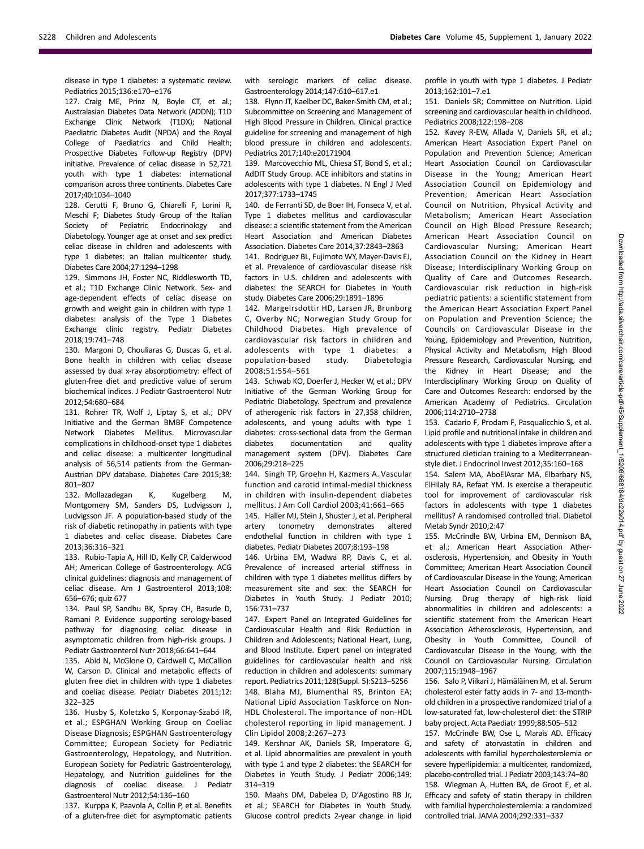disease in type 1 diabetes: a systematic review. Pediatrics 2015;136:e170–e176

127. Craig ME, Prinz N, Boyle CT, et al.; Australasian Diabetes Data Network (ADDN); T1D Exchange Clinic Network (T1DX); National Paediatric Diabetes Audit (NPDA) and the Royal College of Paediatrics and Child Health; Prospective Diabetes Follow-up Registry (DPV) initiative. Prevalence of celiac disease in 52,721 youth with type 1 diabetes: international comparison across three continents. Diabetes Care 2017;40:1034–1040

128. Cerutti F, Bruno G, Chiarelli F, Lorini R, Meschi F; Diabetes Study Group of the Italian Society of Pediatric Endocrinology and Diabetology. Younger age at onset and sex predict celiac disease in children and adolescents with type 1 diabetes: an Italian multicenter study. Diabetes Care 2004;27:1294–1298

129. Simmons JH, Foster NC, Riddlesworth TD, et al.; T1D Exchange Clinic Network. Sex- and age-dependent effects of celiac disease on growth and weight gain in children with type 1 diabetes: analysis of the Type 1 Diabetes Exchange clinic registry. Pediatr Diabetes 2018;19:741–748

130. Margoni D, Chouliaras G, Duscas G, et al. Bone health in children with celiac disease assessed by dual x-ray absorptiometry: effect of gluten-free diet and predictive value of serum biochemical indices. J Pediatr Gastroenterol Nutr 2012;54:680–684

131. Rohrer TR, Wolf J, Liptay S, et al.; DPV Initiative and the German BMBF Competence Network Diabetes Mellitus. Microvascular complications in childhood-onset type 1 diabetes and celiac disease: a multicenter longitudinal analysis of 56,514 patients from the German-Austrian DPV database. Diabetes Care 2015;38: 801–807

132. Mollazadegan K, Kugelberg M, Montgomery SM, Sanders DS, Ludvigsson J, Ludvigsson JF. A population-based study of the risk of diabetic retinopathy in patients with type 1 diabetes and celiac disease. Diabetes Care 2013;36:316–321

133. Rubio-Tapia A, Hill ID, Kelly CP, Calderwood AH; American College of Gastroenterology. ACG clinical guidelines: diagnosis and management of celiac disease. Am J Gastroenterol 2013;108: 656–676; quiz 677

134. Paul SP, Sandhu BK, Spray CH, Basude D, Ramani P. Evidence supporting serology-based pathway for diagnosing celiac disease in asymptomatic children from high-risk groups. J Pediatr Gastroenterol Nutr 2018;66:641–644

135. Abid N, McGlone O, Cardwell C, McCallion W, Carson D. Clinical and metabolic effects of gluten free diet in children with type 1 diabetes and coeliac disease. Pediatr Diabetes 2011;12: 322–325

136. Husby S, Koletzko S, Korponay-Szabó IR, et al.; ESPGHAN Working Group on Coeliac Disease Diagnosis; ESPGHAN Gastroenterology Committee; European Society for Pediatric Gastroenterology, Hepatology, and Nutrition. European Society for Pediatric Gastroenterology, Hepatology, and Nutrition guidelines for the diagnosis of coeliac disease. J Pediatr Gastroenterol Nutr 2012;54:136–160

137. Kurppa K, Paavola A, Collin P, et al. Benefits of a gluten-free diet for asymptomatic patients with serologic markers of celiac disease. Gastroenterology 2014;147:610–617.e1

138. Flynn JT, Kaelber DC, Baker-Smith CM, et al.; Subcommittee on Screening and Management of High Blood Pressure in Children. Clinical practice guideline for screening and management of high blood pressure in children and adolescents. Pediatrics 2017;140:e20171904

139. Marcovecchio ML, Chiesa ST, Bond S, et al.; AdDIT Study Group. ACE inhibitors and statins in adolescents with type 1 diabetes. N Engl J Med 2017;377:1733–1745

140. de Ferranti SD, de Boer IH, Fonseca V, et al. Type 1 diabetes mellitus and cardiovascular disease: a scientific statement from the American Heart Association and American Diabetes Association. Diabetes Care 2014;37:2843–2863

141. Rodriguez BL, Fujimoto WY, Mayer-Davis EJ, et al. Prevalence of cardiovascular disease risk factors in U.S. children and adolescents with diabetes: the SEARCH for Diabetes in Youth study. Diabetes Care 2006;29:1891–1896

142. Margeirsdottir HD, Larsen JR, Brunborg C, Overby NC; Norwegian Study Group for Childhood Diabetes. High prevalence of cardiovascular risk factors in children and adolescents with type 1 diabetes: population-based study. Diabetologia 2008;51:554–561

143. Schwab KO, Doerfer J, Hecker W, et al.; DPV Initiative of the German Working Group for Pediatric Diabetology. Spectrum and prevalence of atherogenic risk factors in 27,358 children, adolescents, and young adults with type 1 diabetes: cross-sectional data from the German diabetes documentation and quality management system (DPV). Diabetes Care 2006;29:218–225

144. Singh TP, Groehn H, Kazmers A. Vascular function and carotid intimal-medial thickness in children with insulin-dependent diabetes mellitus. J Am Coll Cardiol 2003;41:661–665

145. Haller MJ, Stein J, Shuster J, et al. Peripheral artery tonometry demonstrates altered endothelial function in children with type 1 diabetes. Pediatr Diabetes 2007;8:193–198

146. Urbina EM, Wadwa RP, Davis C, et al. Prevalence of increased arterial stiffness in children with type 1 diabetes mellitus differs by measurement site and sex: the SEARCH for Diabetes in Youth Study. J Pediatr 2010; 156:731–737

147. Expert Panel on Integrated Guidelines for Cardiovascular Health and Risk Reduction in Children and Adolescents; National Heart, Lung, and Blood Institute. Expert panel on integrated guidelines for cardiovascular health and risk reduction in children and adolescents: summary report. Pediatrics 2011;128(Suppl. 5):S213–S256 148. Blaha MJ, Blumenthal RS, Brinton EA; National Lipid Association Taskforce on Non-HDL Cholesterol. The importance of non-HDL cholesterol reporting in lipid management. J Clin Lipidol 2008;2:267–273

149. Kershnar AK, Daniels SR, Imperatore G, et al. Lipid abnormalities are prevalent in youth with type 1 and type 2 diabetes: the SEARCH for Diabetes in Youth Study. J Pediatr 2006;149: 314–319

150. Maahs DM, Dabelea D, D'Agostino RB Jr, et al.; SEARCH for Diabetes in Youth Study. Glucose control predicts 2-year change in lipid profile in youth with type 1 diabetes. J Pediatr 2013;162:101–7.e1

151. Daniels SR; Committee on Nutrition. Lipid screening and cardiovascular health in childhood. Pediatrics 2008;122:198–208

152. Kavey R-EW, Allada V, Daniels SR, et al.; American Heart Association Expert Panel on Population and Prevention Science; American Heart Association Council on Cardiovascular Disease in the Young; American Heart Association Council on Epidemiology and Prevention; American Heart Association Council on Nutrition, Physical Activity and Metabolism; American Heart Association Council on High Blood Pressure Research; American Heart Association Council on Cardiovascular Nursing; American Heart Association Council on the Kidney in Heart Disease; Interdisciplinary Working Group on Quality of Care and Outcomes Research. Cardiovascular risk reduction in high-risk pediatric patients: a scientific statement from the American Heart Association Expert Panel on Population and Prevention Science; the Councils on Cardiovascular Disease in the Young, Epidemiology and Prevention, Nutrition, Physical Activity and Metabolism, High Blood Pressure Research, Cardiovascular Nursing, and the Kidney in Heart Disease; and the Interdisciplinary Working Group on Quality of Care and Outcomes Research: endorsed by the American Academy of Pediatrics. Circulation 2006;114:2710–2738

153. Cadario F, Prodam F, Pasqualicchio S, et al. Lipid profile and nutritional intake in children and adolescents with type 1 diabetes improve after a structured dietician training to a Mediterraneanstyle diet. J Endocrinol Invest 2012;35:160–168

154. Salem MA, AboElAsrar MA, Elbarbary NS, ElHilaly RA, Refaat YM. Is exercise a therapeutic tool for improvement of cardiovascular risk factors in adolescents with type 1 diabetes mellitus? A randomised controlled trial. Diabetol Metab Syndr 2010;2:47

155. McCrindle BW, Urbina EM, Dennison BA, et al.; American Heart Association Atherosclerosis, Hypertension, and Obesity in Youth Committee; American Heart Association Council of Cardiovascular Disease in the Young; American Heart Association Council on Cardiovascular Nursing. Drug therapy of high-risk lipid abnormalities in children and adolescents: a scientific statement from the American Heart Association Atherosclerosis, Hypertension, and Obesity in Youth Committee, Council of Cardiovascular Disease in the Young, with the Council on Cardiovascular Nursing. Circulation 2007;115:1948–1967

156. Salo P, Viikari J, Hämäläinen M, et al. Serum cholesterol ester fatty acids in 7- and 13-monthold children in a prospective randomized trial of a low-saturated fat, low-cholesterol diet: the STRIP baby project. Acta Paediatr 1999;88:505–512

157. McCrindle BW, Ose L, Marais AD. Efficacy and safety of atorvastatin in children and adolescents with familial hypercholesterolemia or severe hyperlipidemia: a multicenter, randomized, placebo-controlled trial. J Pediatr 2003;143:74–80 158. Wiegman A, Hutten BA, de Groot E, et al. Efficacy and safety of statin therapy in children with familial hypercholesterolemia: a randomized controlled trial. JAMA 2004;292:331–337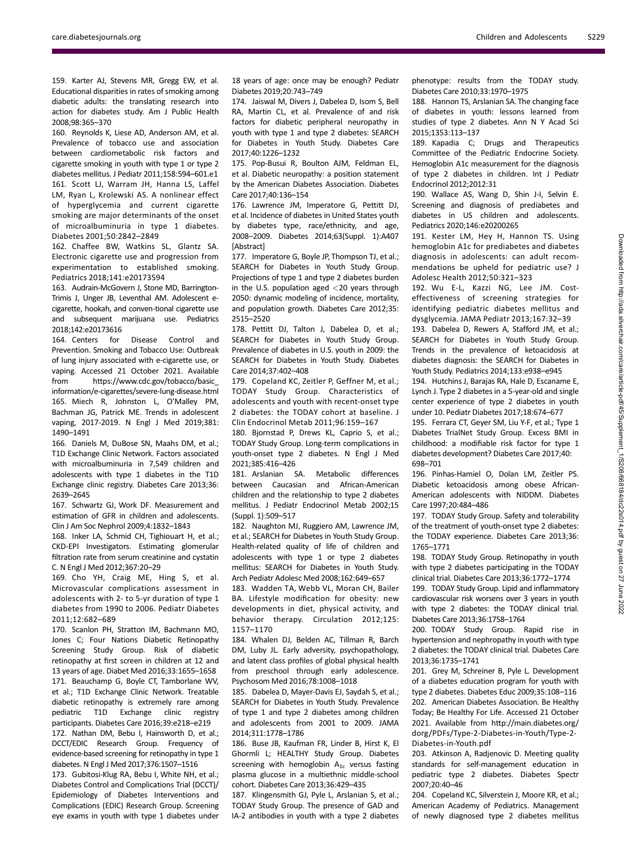159. Karter AJ, Stevens MR, Gregg EW, et al. Educational disparities in rates of smoking among diabetic adults: the translating research into action for diabetes study. Am J Public Health 2008;98:365–370

160. Reynolds K, Liese AD, Anderson AM, et al. Prevalence of tobacco use and association between cardiometabolic risk factors and cigarette smoking in youth with type 1 or type 2 diabetes mellitus. J Pediatr 2011;158:594–601.e1 161. Scott LJ, Warram JH, Hanna LS, Laffel LM, Ryan L, Krolewski AS. A nonlinear effect of hyperglycemia and current cigarette smoking are major determinants of the onset of microalbuminuria in type 1 diabetes. Diabetes 2001;50:2842–2849

162. Chaffee BW, Watkins SL, Glantz SA. Electronic cigarette use and progression from experimentation to established smoking. Pediatrics 2018;141:e20173594

163. Audrain-McGovern J, Stone MD, Barrington-Trimis J, Unger JB, Leventhal AM. Adolescent ecigarette, hookah, and conven-tional cigarette use and subsequent marijuana use. Pediatrics 2018;142:e20173616

164. Centers for Disease Control and Prevention. Smoking and Tobacco Use: Outbreak of lung injury associated with e-cigarette use, or vaping. Accessed 21 October 2021. Available from [https://www.cdc.gov/tobacco/basic\\_](https://www.cdc.gov/tobacco/basic_information/e-cigarettes/severe-lung-disease.html) [information/e-cigarettes/severe-lung-disease.html](https://www.cdc.gov/tobacco/basic_information/e-cigarettes/severe-lung-disease.html) 165. Miech R, Johnston L, O'Malley PM, Bachman JG, Patrick ME. Trends in adolescent vaping, 2017-2019. N Engl J Med 2019;381: 1490–1491

166. Daniels M, DuBose SN, Maahs DM, et al.; T1D Exchange Clinic Network. Factors associated with microalbuminuria in 7,549 children and adolescents with type 1 diabetes in the T1D Exchange clinic registry. Diabetes Care 2013;36: 2639–2645

167. Schwartz GJ, Work DF. Measurement and estimation of GFR in children and adolescents. Clin J Am Soc Nephrol 2009;4:1832–1843

168. Inker LA, Schmid CH, Tighiouart H, et al.; CKD-EPI Investigators. Estimating glomerular filtration rate from serum creatinine and cystatin C. N Engl J Med 2012;367:20–29

169. Cho YH, Craig ME, Hing S, et al. Microvascular complications assessment in adolescents with 2- to 5-yr duration of type 1 diabetes from 1990 to 2006. Pediatr Diabetes 2011;12:682–689

170. Scanlon PH, Stratton IM, Bachmann MO, Jones C; Four Nations Diabetic Retinopathy Screening Study Group. Risk of diabetic retinopathy at first screen in children at 12 and 13 years of age. Diabet Med 2016;33:1655–1658 171. Beauchamp G, Boyle CT, Tamborlane WV, et al.; T1D Exchange Clinic Network. Treatable diabetic retinopathy is extremely rare among pediatric T1D Exchange clinic registry participants. Diabetes Care 2016;39:e218–e219 172. Nathan DM, Bebu I, Hainsworth D, et al.;

DCCT/EDIC Research Group. Frequency of evidence-based screening for retinopathy in type 1 diabetes. N Engl J Med 2017;376:1507–1516

173. Gubitosi-Klug RA, Bebu I, White NH, et al.; Diabetes Control and Complications Trial (DCCT)/ Epidemiology of Diabetes Interventions and Complications (EDIC) Research Group. Screening eye exams in youth with type 1 diabetes under

18 years of age: once may be enough? Pediatr Diabetes 2019;20:743–749

174. Jaiswal M, Divers J, Dabelea D, Isom S, Bell RA, Martin CL, et al. Prevalence of and risk factors for diabetic peripheral neuropathy in youth with type 1 and type 2 diabetes: SEARCH for Diabetes in Youth Study. Diabetes Care 2017;40:1226–1232

175. Pop-Busui R, Boulton AJM, Feldman EL, et al. Diabetic neuropathy: a position statement by the American Diabetes Association. Diabetes Care 2017;40:136–154

176. Lawrence JM, Imperatore G, Pettitt DJ, et al. Incidence of diabetes in United States youth by diabetes type, race/ethnicity, and age, 2008–2009. Diabetes 2014;63(Suppl. 1):A407 [Abstract]

177. Imperatore G, Boyle JP, Thompson TJ, et al.; SEARCH for Diabetes in Youth Study Group. Projections of type 1 and type 2 diabetes burden in the U.S. population aged <20 years through 2050: dynamic modeling of incidence, mortality, and population growth. Diabetes Care 2012;35: 2515–2520

178. Pettitt DJ, Talton J, Dabelea D, et al.; SEARCH for Diabetes in Youth Study Group. Prevalence of diabetes in U.S. youth in 2009: the SEARCH for Diabetes in Youth Study. Diabetes Care 2014;37:402–408

179. Copeland KC, Zeitler P, Geffner M, et al.; TODAY Study Group. Characteristics of adolescents and youth with recent-onset type 2 diabetes: the TODAY cohort at baseline. J Clin Endocrinol Metab 2011;96:159–167

180. Bjornstad P, Drews KL, Caprio S, et al.; TODAY Study Group. Long-term complications in youth-onset type 2 diabetes. N Engl J Med 2021;385:416–426

181. Arslanian SA. Metabolic differences between Caucasian and African-American children and the relationship to type 2 diabetes mellitus. J Pediatr Endocrinol Metab 2002;15 (Suppl. 1):509–517

182. Naughton MJ, Ruggiero AM, Lawrence JM, et al.; SEARCH for Diabetes in Youth Study Group. Health-related quality of life of children and adolescents with type 1 or type 2 diabetes mellitus: SEARCH for Diabetes in Youth Study. Arch Pediatr Adolesc Med 2008;162:649–657

183. Wadden TA, Webb VL, Moran CH, Bailer BA. Lifestyle modification for obesity: new developments in diet, physical activity, and behavior therapy. Circulation 2012;125: 1157–1170

184. Whalen DJ, Belden AC, Tillman R, Barch DM, Luby JL. Early adversity, psychopathology, and latent class profiles of global physical health from preschool through early adolescence. Psychosom Med 2016;78:1008–1018

185. Dabelea D, Mayer-Davis EJ, Saydah S, et al.; SEARCH for Diabetes in Youth Study. Prevalence of type 1 and type 2 diabetes among children and adolescents from 2001 to 2009. JAMA 2014;311:1778–1786

186. Buse JB, Kaufman FR, Linder B, Hirst K, El Ghormli L; HEALTHY Study Group. Diabetes screening with hemoglobin  $A_{1c}$  versus fasting plasma glucose in a multiethnic middle-school cohort. Diabetes Care 2013;36:429–435

187. Klingensmith GJ, Pyle L, Arslanian S, et al.; TODAY Study Group. The presence of GAD and IA-2 antibodies in youth with a type 2 diabetes phenotype: results from the TODAY study. Diabetes Care 2010;33:1970–1975

188. Hannon TS, Arslanian SA. The changing face of diabetes in youth: lessons learned from studies of type 2 diabetes. Ann N Y Acad Sci 2015;1353:113–137

189. Kapadia C; Drugs and Therapeutics Committee of the Pediatric Endocrine Society. Hemoglobin A1c measurement for the diagnosis of type 2 diabetes in children. Int J Pediatr Endocrinol 2012;2012:31

190. Wallace AS, Wang D, Shin J-I, Selvin E. Screening and diagnosis of prediabetes and diabetes in US children and adolescents. Pediatrics 2020;146:e20200265

191. Kester LM, Hey H, Hannon TS. Using hemoglobin A1c for prediabetes and diabetes diagnosis in adolescents: can adult recommendations be upheld for pediatric use? J Adolesc Health 2012;50:321–323

192. Wu E-L, Kazzi NG, Lee JM. Costeffectiveness of screening strategies for identifying pediatric diabetes mellitus and dysglycemia. JAMA Pediatr 2013;167:32–39

193. Dabelea D, Rewers A, Stafford JM, et al.; SEARCH for Diabetes in Youth Study Group. Trends in the prevalence of ketoacidosis at diabetes diagnosis: the SEARCH for Diabetes in Youth Study. Pediatrics 2014;133:e938–e945

194. Hutchins J, Barajas RA, Hale D, Escaname E, Lynch J. Type 2 diabetes in a 5-year-old and single center experience of type 2 diabetes in youth under 10. Pediatr Diabetes 2017;18:674–677

195. Ferrara CT, Geyer SM, Liu Y-F, et al.; Type 1 Diabetes TrialNet Study Group. Excess BMI in childhood: a modifiable risk factor for type 1 diabetes development? Diabetes Care 2017;40: 698–701

196. Pinhas-Hamiel O, Dolan LM, Zeitler PS. Diabetic ketoacidosis among obese African-American adolescents with NIDDM. Diabetes Care 1997;20:484–486

197. TODAY Study Group. Safety and tolerability of the treatment of youth-onset type 2 diabetes: the TODAY experience. Diabetes Care 2013;36: 1765–1771

198. TODAY Study Group. Retinopathy in youth with type 2 diabetes participating in the TODAY clinical trial. Diabetes Care 2013;36:1772–1774

199. TODAY Study Group. Lipid and inflammatory cardiovascular risk worsens over 3 years in youth with type 2 diabetes: the TODAY clinical trial. Diabetes Care 2013;36:1758–1764

200. TODAY Study Group. Rapid rise in hypertension and nephropathy in youth with type 2 diabetes: the TODAY clinical trial. Diabetes Care 2013;36:1735–1741

201. Grey M, Schreiner B, Pyle L. Development of a diabetes education program for youth with type 2 diabetes. Diabetes Educ 2009;35:108–116 202. American Diabetes Association. Be Healthy Today; Be Healthy For Life. Accessed 21 October 2021. Available from [http://main.diabetes.org/](http://main.diabetes.org/dorg/PDFs/Type-2-Diabetes-in-Youth/Type-2-Diabetes-in-Youth.pdf) [dorg/PDFs/Type-2-Diabetes-in-Youth/Type-2-](http://main.diabetes.org/dorg/PDFs/Type-2-Diabetes-in-Youth/Type-2-Diabetes-in-Youth.pdf) [Diabetes-in-Youth.pdf](http://main.diabetes.org/dorg/PDFs/Type-2-Diabetes-in-Youth/Type-2-Diabetes-in-Youth.pdf)

203. Atkinson A, Radjenovic D. Meeting quality standards for self-management education in pediatric type 2 diabetes. Diabetes Spectr 2007;20:40–46

204. Copeland KC, Silverstein J, Moore KR, et al.; American Academy of Pediatrics. Management of newly diagnosed type 2 diabetes mellitus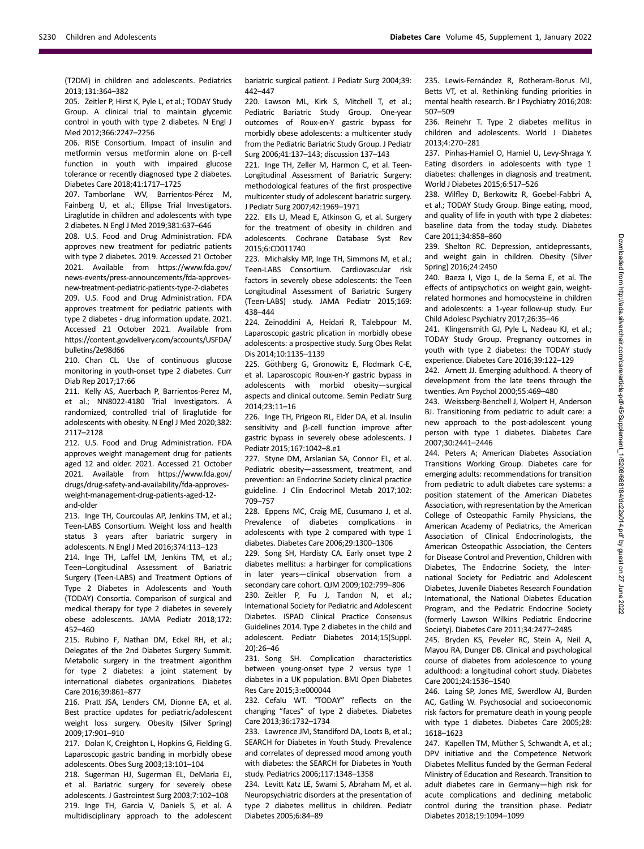(T2DM) in children and adolescents. Pediatrics 2013;131:364–382

205. Zeitler P, Hirst K, Pyle L, et al.; TODAY Study Group. A clinical trial to maintain glycemic control in youth with type 2 diabetes. N Engl J Med 2012;366:2247–2256

206. RISE Consortium. Impact of insulin and metformin versus metformin alone on b-cell function in youth with impaired glucose tolerance or recently diagnosed type 2 diabetes. Diabetes Care 2018;41:1717–1725

207. Tamborlane WV, Barrientos-Pérez M, Fainberg U, et al.; Ellipse Trial Investigators. Liraglutide in children and adolescents with type 2 diabetes. N Engl J Med 2019;381:637–646

208. U.S. Food and Drug Administration. FDA approves new treatment for pediatric patients with type 2 diabetes. 2019. Accessed 21 October 2021. Available from [https://www.fda.gov/](https://www.fda.gov/news-events/press-announcements/fda-approves-new-treatment-pediatric-patients-type-2-diabetes) [news-events/press-announcements/fda-approves](https://www.fda.gov/news-events/press-announcements/fda-approves-new-treatment-pediatric-patients-type-2-diabetes)[new-treatment-pediatric-patients-type-2-diabetes](https://www.fda.gov/news-events/press-announcements/fda-approves-new-treatment-pediatric-patients-type-2-diabetes) 209. U.S. Food and Drug Administration. FDA approves treatment for pediatric patients with type 2 diabetes - drug information update. 2021. Accessed 21 October 2021. Available from [https://content.govdelivery.com/accounts/USFDA/](https://content.govdelivery.com/accounts/USFDA/bulletins/2e98d66) [bulletins/2e98d66](https://content.govdelivery.com/accounts/USFDA/bulletins/2e98d66)

210. Chan CL. Use of continuous glucose monitoring in youth-onset type 2 diabetes. Curr Diab Rep 2017;17:66

211. Kelly AS, Auerbach P, Barrientos-Perez M, et al.; NN8022-4180 Trial Investigators. A randomized, controlled trial of liraglutide for adolescents with obesity. N Engl J Med 2020;382: 2117–2128

212. U.S. Food and Drug Administration. FDA approves weight management drug for patients aged 12 and older. 2021. Accessed 21 October 2021. Available from [https://www.fda.gov/](https://www.fda.gov/drugs/drug-safety-and-availability/fda-approves-weight-management-drug-patients-aged-12-and-older) [drugs/drug-safety-and-availability/fda-approves](https://www.fda.gov/drugs/drug-safety-and-availability/fda-approves-weight-management-drug-patients-aged-12-and-older)[weight-management-drug-patients-aged-12](https://www.fda.gov/drugs/drug-safety-and-availability/fda-approves-weight-management-drug-patients-aged-12-and-older) [and-older](https://www.fda.gov/drugs/drug-safety-and-availability/fda-approves-weight-management-drug-patients-aged-12-and-older)

213. Inge TH, Courcoulas AP, Jenkins TM, et al.; Teen-LABS Consortium. Weight loss and health status 3 years after bariatric surgery in adolescents. N Engl J Med 2016;374:113–123

214. Inge TH, Laffel LM, Jenkins TM, et al.; Teen–Longitudinal Assessment of Bariatric Surgery (Teen-LABS) and Treatment Options of Type 2 Diabetes in Adolescents and Youth (TODAY) Consortia. Comparison of surgical and medical therapy for type 2 diabetes in severely obese adolescents. JAMA Pediatr 2018;172: 452–460

215. Rubino F, Nathan DM, Eckel RH, et al.; Delegates of the 2nd Diabetes Surgery Summit. Metabolic surgery in the treatment algorithm for type 2 diabetes: a joint statement by international diabetes organizations. Diabetes Care 2016;39:861–877

216. Pratt JSA, Lenders CM, Dionne EA, et al. Best practice updates for pediatric/adolescent weight loss surgery. Obesity (Silver Spring) 2009;17:901–910

217. Dolan K, Creighton L, Hopkins G, Fielding G. Laparoscopic gastric banding in morbidly obese adolescents. Obes Surg 2003;13:101–104

218. Sugerman HJ, Sugerman EL, DeMaria EJ, et al. Bariatric surgery for severely obese adolescents. J Gastrointest Surg 2003;7:102–108 219. Inge TH, Garcia V, Daniels S, et al. A multidisciplinary approach to the adolescent bariatric surgical patient. J Pediatr Surg 2004;39: 442–447

220. Lawson ML, Kirk S, Mitchell T, et al.; Pediatric Bariatric Study Group. One-year outcomes of Roux-en-Y gastric bypass for morbidly obese adolescents: a multicenter study from the Pediatric Bariatric Study Group. J Pediatr Surg 2006;41:137–143; discussion 137–143

221. Inge TH, Zeller M, Harmon C, et al. Teen-Longitudinal Assessment of Bariatric Surgery: methodological features of the first prospective multicenter study of adolescent bariatric surgery. J Pediatr Surg 2007;42:1969–1971

222. Ells LJ, Mead E, Atkinson G, et al. Surgery for the treatment of obesity in children and adolescents. Cochrane Database Syst Rev 2015;6:CD011740

223. Michalsky MP, Inge TH, Simmons M, et al.; Teen-LABS Consortium. Cardiovascular risk factors in severely obese adolescents: the Teen Longitudinal Assessment of Bariatric Surgery (Teen-LABS) study. JAMA Pediatr 2015;169: 438–444

224. Zeinoddini A, Heidari R, Talebpour M. Laparoscopic gastric plication in morbidly obese adolescents: a prospective study. Surg Obes Relat Dis 2014;10:1135–1139

225. Göthberg G, Gronowitz E, Flodmark C-E, et al. Laparoscopic Roux-en-Y gastric bypass in adolescents with morbid obesity—surgical aspects and clinical outcome. Semin Pediatr Surg 2014;23:11–16

226. Inge TH, Prigeon RL, Elder DA, et al. Insulin sensitivity and  $\beta$ -cell function improve after gastric bypass in severely obese adolescents. J Pediatr 2015;167:1042–8.e1

227. Styne DM, Arslanian SA, Connor EL, et al. Pediatric obesity—assessment, treatment, and prevention: an Endocrine Society clinical practice guideline. J Clin Endocrinol Metab 2017;102: 709–757

228. Eppens MC, Craig ME, Cusumano J, et al. Prevalence of diabetes complications in adolescents with type 2 compared with type 1 diabetes. Diabetes Care 2006;29:1300–1306

229. Song SH, Hardisty CA. Early onset type 2 diabetes mellitus: a harbinger for complications in later years—clinical observation from a secondary care cohort. QJM 2009;102:799–806

230. Zeitler P, Fu J, Tandon N, et al.; International Society for Pediatric and Adolescent Diabetes. ISPAD Clinical Practice Consensus Guidelines 2014. Type 2 diabetes in the child and adolescent. Pediatr Diabetes 2014;15(Suppl. 20):26–46

231. Song SH. Complication characteristics between young-onset type 2 versus type 1 diabetes in a UK population. BMJ Open Diabetes Res Care 2015;3:e000044

232. Cefalu WT. "TODAY" reflects on the changing "faces" of type 2 diabetes. Diabetes Care 2013;36:1732–1734

233. Lawrence JM, Standiford DA, Loots B, et al.; SEARCH for Diabetes in Youth Study. Prevalence and correlates of depressed mood among youth with diabetes: the SEARCH for Diabetes in Youth study. Pediatrics 2006;117:1348–1358

234. Levitt Katz LE, Swami S, Abraham M, et al. Neuropsychiatric disorders at the presentation of type 2 diabetes mellitus in children. Pediatr Diabetes 2005;6:84–89

235. Lewis-Fernández R, Rotheram-Borus MJ, Betts VT, et al. Rethinking funding priorities in mental health research. Br J Psychiatry 2016;208: 507–509

236. Reinehr T. Type 2 diabetes mellitus in children and adolescents. World J Diabetes 2013;4:270–281

237. Pinhas-Hamiel O, Hamiel U, Levy-Shraga Y. Eating disorders in adolescents with type 1 diabetes: challenges in diagnosis and treatment. World J Diabetes 2015;6:517–526

238. Wilfley D, Berkowitz R, Goebel-Fabbri A, et al.; TODAY Study Group. Binge eating, mood, and quality of life in youth with type 2 diabetes: baseline data from the today study. Diabetes Care 2011;34:858–860

239. Shelton RC. Depression, antidepressants, and weight gain in children. Obesity (Silver Spring) 2016;24:2450

240. Baeza I, Vigo L, de la Serna E, et al. The effects of antipsychotics on weight gain, weightrelated hormones and homocysteine in children and adolescents: a 1-year follow-up study. Eur Child Adolesc Psychiatry 2017;26:35–46

241. Klingensmith GJ, Pyle L, Nadeau KJ, et al.; TODAY Study Group. Pregnancy outcomes in youth with type 2 diabetes: the TODAY study experience. Diabetes Care 2016;39:122–129

242. Arnett JJ. Emerging adulthood. A theory of development from the late teens through the twenties. Am Psychol 2000;55:469–480

243. Weissberg-Benchell J, Wolpert H, Anderson BJ. Transitioning from pediatric to adult care: a new approach to the post-adolescent young person with type 1 diabetes. Diabetes Care 2007;30:2441–2446

244. Peters A; American Diabetes Association Transitions Working Group. Diabetes care for emerging adults: recommendations for transition from pediatric to adult diabetes care systems: a position statement of the American Diabetes Association, with representation by the American College of Osteopathic Family Physicians, the American Academy of Pediatrics, the American Association of Clinical Endocrinologists, the American Osteopathic Association, the Centers for Disease Control and Prevention, Children with Diabetes, The Endocrine Society, the International Society for Pediatric and Adolescent Diabetes, Juvenile Diabetes Research Foundation International, the National Diabetes Education Program, and the Pediatric Endocrine Society (formerly Lawson Wilkins Pediatric Endocrine Society). Diabetes Care 2011;34:2477–2485

245. Bryden KS, Peveler RC, Stein A, Neil A, Mayou RA, Dunger DB. Clinical and psychological course of diabetes from adolescence to young adulthood: a longitudinal cohort study. Diabetes Care 2001;24:1536–1540

246. Laing SP, Jones ME, Swerdlow AJ, Burden AC, Gatling W. Psychosocial and socioeconomic risk factors for premature death in young people with type 1 diabetes. Diabetes Care 2005;28: 1618–1623

247. Kapellen TM, Müther S, Schwandt A, et al.; DPV initiative and the Competence Network Diabetes Mellitus funded by the German Federal Ministry of Education and Research. Transition to adult diabetes care in Germany—high risk for acute complications and declining metabolic control during the transition phase. Pediatr Diabetes 2018;19:1094–1099